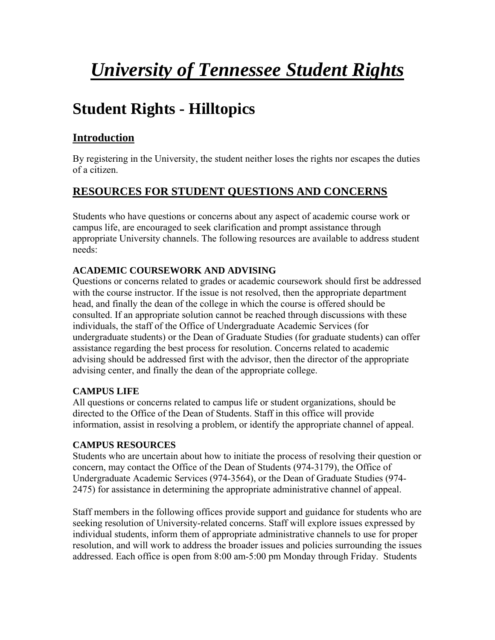# *University of Tennessee Student Rights*

# **Student Rights - Hilltopics**

# **Introduction**

By registering in the University, the student neither loses the rights nor escapes the duties of a citizen.

# **RESOURCES FOR STUDENT QUESTIONS AND CONCERNS**

Students who have questions or concerns about any aspect of academic course work or campus life, are encouraged to seek clarification and prompt assistance through appropriate University channels. The following resources are available to address student needs:

# **ACADEMIC COURSEWORK AND ADVISING**

Questions or concerns related to grades or academic coursework should first be addressed with the course instructor. If the issue is not resolved, then the appropriate department head, and finally the dean of the college in which the course is offered should be consulted. If an appropriate solution cannot be reached through discussions with these individuals, the staff of the Office of Undergraduate Academic Services (for undergraduate students) or the Dean of Graduate Studies (for graduate students) can offer assistance regarding the best process for resolution. Concerns related to academic advising should be addressed first with the advisor, then the director of the appropriate advising center, and finally the dean of the appropriate college.

# **CAMPUS LIFE**

All questions or concerns related to campus life or student organizations, should be directed to the Office of the Dean of Students. Staff in this office will provide information, assist in resolving a problem, or identify the appropriate channel of appeal.

# **CAMPUS RESOURCES**

Students who are uncertain about how to initiate the process of resolving their question or concern, may contact the Office of the Dean of Students (974-3179), the Office of Undergraduate Academic Services (974-3564), or the Dean of Graduate Studies (974- 2475) for assistance in determining the appropriate administrative channel of appeal.

Staff members in the following offices provide support and guidance for students who are seeking resolution of University-related concerns. Staff will explore issues expressed by individual students, inform them of appropriate administrative channels to use for proper resolution, and will work to address the broader issues and policies surrounding the issues addressed. Each office is open from 8:00 am-5:00 pm Monday through Friday. Students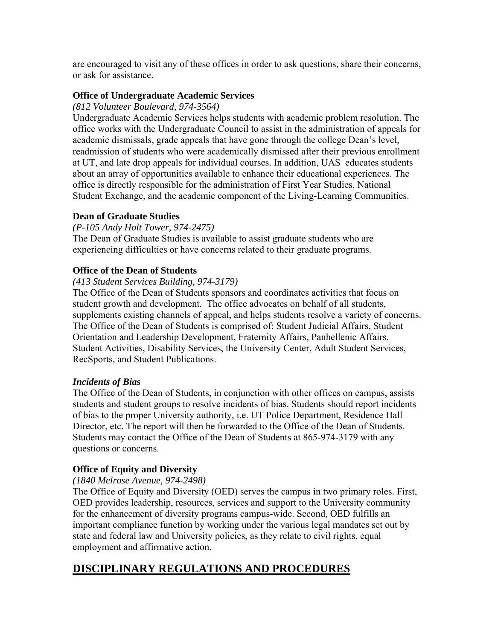are encouraged to visit any of these offices in order to ask questions, share their concerns, or ask for assistance.

# **Office of Undergraduate Academic Services**

# *(812 Volunteer Boulevard, 974-3564)*

Undergraduate Academic Services helps students with academic problem resolution. The office works with the Undergraduate Council to assist in the administration of appeals for academic dismissals, grade appeals that have gone through the college Dean's level, readmission of students who were academically dismissed after their previous enrollment at UT, and late drop appeals for individual courses. In addition, UAS educates students about an array of opportunities available to enhance their educational experiences. The office is directly responsible for the administration of First Year Studies, National Student Exchange, and the academic component of the Living-Learning Communities.

# **Dean of Graduate Studies**

# *(P-105 Andy Holt Tower, 974-2475)*

The Dean of Graduate Studies is available to assist graduate students who are experiencing difficulties or have concerns related to their graduate programs.

# **Office of the Dean of Students**

# *(413 Student Services Building, 974-3179)*

The Office of the Dean of Students sponsors and coordinates activities that focus on student growth and development. The office advocates on behalf of all students, supplements existing channels of appeal, and helps students resolve a variety of concerns. The Office of the Dean of Students is comprised of: Student Judicial Affairs, Student Orientation and Leadership Development, Fraternity Affairs, Panhellenic Affairs, Student Activities, Disability Services, the University Center, Adult Student Services, RecSports, and Student Publications.

# *Incidents of Bias*

The Office of the Dean of Students, in conjunction with other offices on campus, assists students and student groups to resolve incidents of bias. Students should report incidents of bias to the proper University authority, i.e. UT Police Department, Residence Hall Director, etc. The report will then be forwarded to the Office of the Dean of Students. Students may contact the Office of the Dean of Students at 865-974-3179 with any questions or concerns.

# **Office of Equity and Diversity**

# *(1840 Melrose Avenue, 974-2498)*

The Office of Equity and Diversity (OED) serves the campus in two primary roles. First, OED provides leadership, resources, services and support to the University community for the enhancement of diversity programs campus-wide. Second, OED fulfills an important compliance function by working under the various legal mandates set out by state and federal law and University policies, as they relate to civil rights, equal employment and affirmative action.

# **DISCIPLINARY REGULATIONS AND PROCEDURES**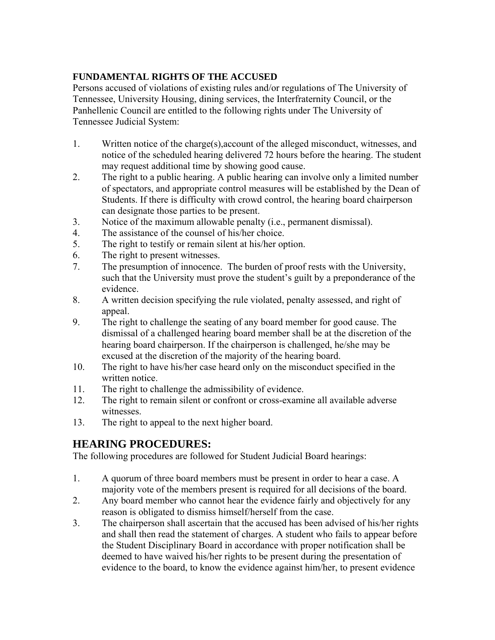# **FUNDAMENTAL RIGHTS OF THE ACCUSED**

Persons accused of violations of existing rules and/or regulations of The University of Tennessee, University Housing, dining services, the Interfraternity Council, or the Panhellenic Council are entitled to the following rights under The University of Tennessee Judicial System:

- 1. Written notice of the charge(s),account of the alleged misconduct, witnesses, and notice of the scheduled hearing delivered 72 hours before the hearing. The student may request additional time by showing good cause.
- 2. The right to a public hearing. A public hearing can involve only a limited number of spectators, and appropriate control measures will be established by the Dean of Students. If there is difficulty with crowd control, the hearing board chairperson can designate those parties to be present.
- 3. Notice of the maximum allowable penalty (i.e., permanent dismissal).
- 4. The assistance of the counsel of his/her choice.
- 5. The right to testify or remain silent at his/her option.
- 6. The right to present witnesses.
- 7. The presumption of innocence. The burden of proof rests with the University, such that the University must prove the student's guilt by a preponderance of the evidence.
- 8. A written decision specifying the rule violated, penalty assessed, and right of appeal.
- 9. The right to challenge the seating of any board member for good cause. The dismissal of a challenged hearing board member shall be at the discretion of the hearing board chairperson. If the chairperson is challenged, he/she may be excused at the discretion of the majority of the hearing board.
- 10. The right to have his/her case heard only on the misconduct specified in the written notice.
- 11. The right to challenge the admissibility of evidence.
- 12. The right to remain silent or confront or cross-examine all available adverse witnesses.
- 13. The right to appeal to the next higher board.

# **HEARING PROCEDURES:**

The following procedures are followed for Student Judicial Board hearings:

- 1. A quorum of three board members must be present in order to hear a case. A majority vote of the members present is required for all decisions of the board.
- 2. Any board member who cannot hear the evidence fairly and objectively for any reason is obligated to dismiss himself/herself from the case.
- 3. The chairperson shall ascertain that the accused has been advised of his/her rights and shall then read the statement of charges. A student who fails to appear before the Student Disciplinary Board in accordance with proper notification shall be deemed to have waived his/her rights to be present during the presentation of evidence to the board, to know the evidence against him/her, to present evidence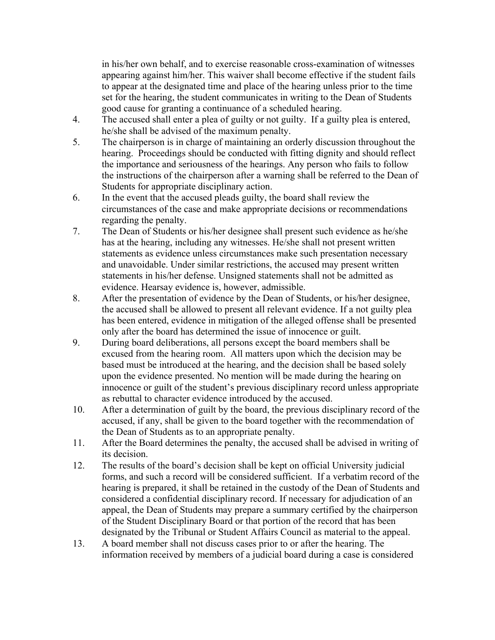in his/her own behalf, and to exercise reasonable cross-examination of witnesses appearing against him/her. This waiver shall become effective if the student fails to appear at the designated time and place of the hearing unless prior to the time set for the hearing, the student communicates in writing to the Dean of Students good cause for granting a continuance of a scheduled hearing.

- 4. The accused shall enter a plea of guilty or not guilty. If a guilty plea is entered, he/she shall be advised of the maximum penalty.
- 5. The chairperson is in charge of maintaining an orderly discussion throughout the hearing. Proceedings should be conducted with fitting dignity and should reflect the importance and seriousness of the hearings. Any person who fails to follow the instructions of the chairperson after a warning shall be referred to the Dean of Students for appropriate disciplinary action.
- 6. In the event that the accused pleads guilty, the board shall review the circumstances of the case and make appropriate decisions or recommendations regarding the penalty.
- 7. The Dean of Students or his/her designee shall present such evidence as he/she has at the hearing, including any witnesses. He/she shall not present written statements as evidence unless circumstances make such presentation necessary and unavoidable. Under similar restrictions, the accused may present written statements in his/her defense. Unsigned statements shall not be admitted as evidence. Hearsay evidence is, however, admissible.
- 8. After the presentation of evidence by the Dean of Students, or his/her designee, the accused shall be allowed to present all relevant evidence. If a not guilty plea has been entered, evidence in mitigation of the alleged offense shall be presented only after the board has determined the issue of innocence or guilt.
- 9. During board deliberations, all persons except the board members shall be excused from the hearing room. All matters upon which the decision may be based must be introduced at the hearing, and the decision shall be based solely upon the evidence presented. No mention will be made during the hearing on innocence or guilt of the student's previous disciplinary record unless appropriate as rebuttal to character evidence introduced by the accused.
- 10. After a determination of guilt by the board, the previous disciplinary record of the accused, if any, shall be given to the board together with the recommendation of the Dean of Students as to an appropriate penalty.
- 11. After the Board determines the penalty, the accused shall be advised in writing of its decision.
- 12. The results of the board's decision shall be kept on official University judicial forms, and such a record will be considered sufficient. If a verbatim record of the hearing is prepared, it shall be retained in the custody of the Dean of Students and considered a confidential disciplinary record. If necessary for adjudication of an appeal, the Dean of Students may prepare a summary certified by the chairperson of the Student Disciplinary Board or that portion of the record that has been designated by the Tribunal or Student Affairs Council as material to the appeal.
- 13. A board member shall not discuss cases prior to or after the hearing. The information received by members of a judicial board during a case is considered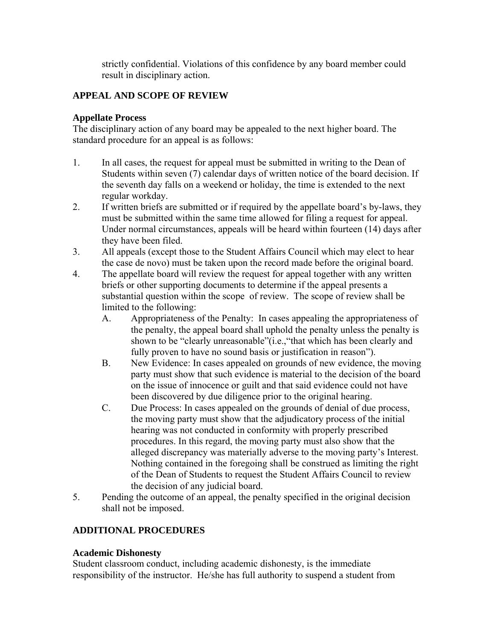strictly confidential. Violations of this confidence by any board member could result in disciplinary action.

# **APPEAL AND SCOPE OF REVIEW**

# **Appellate Process**

The disciplinary action of any board may be appealed to the next higher board. The standard procedure for an appeal is as follows:

- 1. In all cases, the request for appeal must be submitted in writing to the Dean of Students within seven (7) calendar days of written notice of the board decision. If the seventh day falls on a weekend or holiday, the time is extended to the next regular workday.
- 2. If written briefs are submitted or if required by the appellate board's by-laws, they must be submitted within the same time allowed for filing a request for appeal. Under normal circumstances, appeals will be heard within fourteen (14) days after they have been filed.
- 3. All appeals (except those to the Student Affairs Council which may elect to hear the case de novo) must be taken upon the record made before the original board.
- 4. The appellate board will review the request for appeal together with any written briefs or other supporting documents to determine if the appeal presents a substantial question within the scope of review. The scope of review shall be limited to the following:
	- A. Appropriateness of the Penalty: In cases appealing the appropriateness of the penalty, the appeal board shall uphold the penalty unless the penalty is shown to be "clearly unreasonable"(i.e.,"that which has been clearly and fully proven to have no sound basis or justification in reason").
	- B. New Evidence: In cases appealed on grounds of new evidence, the moving party must show that such evidence is material to the decision of the board on the issue of innocence or guilt and that said evidence could not have been discovered by due diligence prior to the original hearing.
	- C. Due Process: In cases appealed on the grounds of denial of due process, the moving party must show that the adjudicatory process of the initial hearing was not conducted in conformity with properly prescribed procedures. In this regard, the moving party must also show that the alleged discrepancy was materially adverse to the moving party's Interest. Nothing contained in the foregoing shall be construed as limiting the right of the Dean of Students to request the Student Affairs Council to review the decision of any judicial board.
- 5. Pending the outcome of an appeal, the penalty specified in the original decision shall not be imposed.

# **ADDITIONAL PROCEDURES**

# **Academic Dishonesty**

Student classroom conduct, including academic dishonesty, is the immediate responsibility of the instructor. He/she has full authority to suspend a student from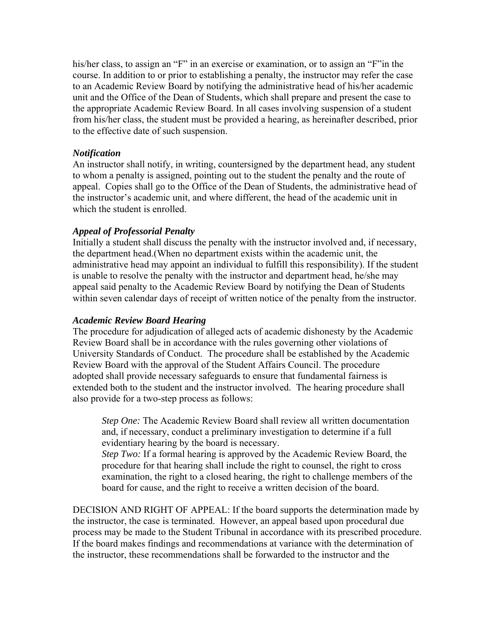his/her class, to assign an "F" in an exercise or examination, or to assign an "F" in the course. In addition to or prior to establishing a penalty, the instructor may refer the case to an Academic Review Board by notifying the administrative head of his/her academic unit and the Office of the Dean of Students, which shall prepare and present the case to the appropriate Academic Review Board. In all cases involving suspension of a student from his/her class, the student must be provided a hearing, as hereinafter described, prior to the effective date of such suspension.

### *Notification*

An instructor shall notify, in writing, countersigned by the department head, any student to whom a penalty is assigned, pointing out to the student the penalty and the route of appeal. Copies shall go to the Office of the Dean of Students, the administrative head of the instructor's academic unit, and where different, the head of the academic unit in which the student is enrolled.

# *Appeal of Professorial Penalty*

Initially a student shall discuss the penalty with the instructor involved and, if necessary, the department head.(When no department exists within the academic unit, the administrative head may appoint an individual to fulfill this responsibility). If the student is unable to resolve the penalty with the instructor and department head, he/she may appeal said penalty to the Academic Review Board by notifying the Dean of Students within seven calendar days of receipt of written notice of the penalty from the instructor.

### *Academic Review Board Hearing*

The procedure for adjudication of alleged acts of academic dishonesty by the Academic Review Board shall be in accordance with the rules governing other violations of University Standards of Conduct. The procedure shall be established by the Academic Review Board with the approval of the Student Affairs Council. The procedure adopted shall provide necessary safeguards to ensure that fundamental fairness is extended both to the student and the instructor involved. The hearing procedure shall also provide for a two-step process as follows:

*Step One:* The Academic Review Board shall review all written documentation and, if necessary, conduct a preliminary investigation to determine if a full evidentiary hearing by the board is necessary.

*Step Two:* If a formal hearing is approved by the Academic Review Board, the procedure for that hearing shall include the right to counsel, the right to cross examination, the right to a closed hearing, the right to challenge members of the board for cause, and the right to receive a written decision of the board.

DECISION AND RIGHT OF APPEAL: If the board supports the determination made by the instructor, the case is terminated. However, an appeal based upon procedural due process may be made to the Student Tribunal in accordance with its prescribed procedure. If the board makes findings and recommendations at variance with the determination of the instructor, these recommendations shall be forwarded to the instructor and the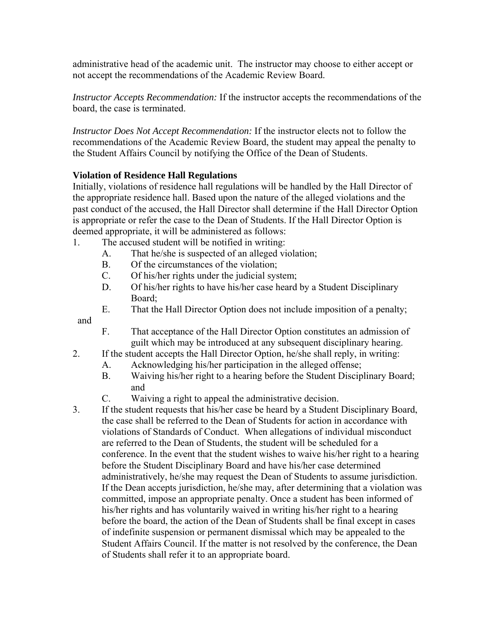administrative head of the academic unit. The instructor may choose to either accept or not accept the recommendations of the Academic Review Board.

*Instructor Accepts Recommendation:* If the instructor accepts the recommendations of the board, the case is terminated.

*Instructor Does Not Accept Recommendation:* If the instructor elects not to follow the recommendations of the Academic Review Board, the student may appeal the penalty to the Student Affairs Council by notifying the Office of the Dean of Students.

# **Violation of Residence Hall Regulations**

Initially, violations of residence hall regulations will be handled by the Hall Director of the appropriate residence hall. Based upon the nature of the alleged violations and the past conduct of the accused, the Hall Director shall determine if the Hall Director Option is appropriate or refer the case to the Dean of Students. If the Hall Director Option is deemed appropriate, it will be administered as follows:

- 1. The accused student will be notified in writing:
	- A. That he/she is suspected of an alleged violation;
	- B. Of the circumstances of the violation;
	- C. Of his/her rights under the judicial system;
	- D. Of his/her rights to have his/her case heard by a Student Disciplinary Board;
	- E. That the Hall Director Option does not include imposition of a penalty;

and

- F. That acceptance of the Hall Director Option constitutes an admission of guilt which may be introduced at any subsequent disciplinary hearing.
- 2. If the student accepts the Hall Director Option, he/she shall reply, in writing:
	- A. Acknowledging his/her participation in the alleged offense;
	- B. Waiving his/her right to a hearing before the Student Disciplinary Board; and
	- C. Waiving a right to appeal the administrative decision.
- 3. If the student requests that his/her case be heard by a Student Disciplinary Board, the case shall be referred to the Dean of Students for action in accordance with violations of Standards of Conduct. When allegations of individual misconduct are referred to the Dean of Students, the student will be scheduled for a conference. In the event that the student wishes to waive his/her right to a hearing before the Student Disciplinary Board and have his/her case determined administratively, he/she may request the Dean of Students to assume jurisdiction. If the Dean accepts jurisdiction, he/she may, after determining that a violation was committed, impose an appropriate penalty. Once a student has been informed of his/her rights and has voluntarily waived in writing his/her right to a hearing before the board, the action of the Dean of Students shall be final except in cases of indefinite suspension or permanent dismissal which may be appealed to the Student Affairs Council. If the matter is not resolved by the conference, the Dean of Students shall refer it to an appropriate board.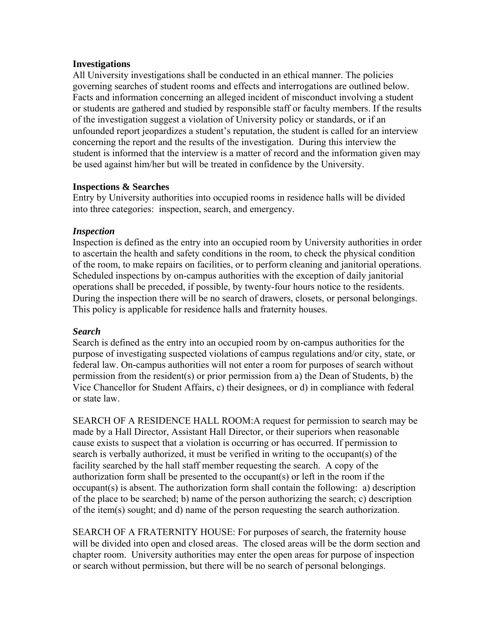# **Investigations**

All University investigations shall be conducted in an ethical manner. The policies governing searches of student rooms and effects and interrogations are outlined below. Facts and information concerning an alleged incident of misconduct involving a student or students are gathered and studied by responsible staff or faculty members. If the results of the investigation suggest a violation of University policy or standards, or if an unfounded report jeopardizes a student's reputation, the student is called for an interview concerning the report and the results of the investigation. During this interview the student is informed that the interview is a matter of record and the information given may be used against him/her but will be treated in confidence by the University.

# **Inspections & Searches**

Entry by University authorities into occupied rooms in residence halls will be divided into three categories: inspection, search, and emergency.

# *Inspection*

Inspection is defined as the entry into an occupied room by University authorities in order to ascertain the health and safety conditions in the room, to check the physical condition of the room, to make repairs on facilities, or to perform cleaning and janitorial operations. Scheduled inspections by on-campus authorities with the exception of daily janitorial operations shall be preceded, if possible, by twenty-four hours notice to the residents. During the inspection there will be no search of drawers, closets, or personal belongings. This policy is applicable for residence halls and fraternity houses.

# *Search*

Search is defined as the entry into an occupied room by on-campus authorities for the purpose of investigating suspected violations of campus regulations and/or city, state, or federal law. On-campus authorities will not enter a room for purposes of search without permission from the resident(s) or prior permission from a) the Dean of Students, b) the Vice Chancellor for Student Affairs, c) their designees, or d) in compliance with federal or state law.

SEARCH OF A RESIDENCE HALL ROOM:A request for permission to search may be made by a Hall Director, Assistant Hall Director, or their superiors when reasonable cause exists to suspect that a violation is occurring or has occurred. If permission to search is verbally authorized, it must be verified in writing to the occupant(s) of the facility searched by the hall staff member requesting the search. A copy of the authorization form shall be presented to the occupant(s) or left in the room if the occupant(s) is absent. The authorization form shall contain the following: a) description of the place to be searched; b) name of the person authorizing the search; c) description of the item(s) sought; and d) name of the person requesting the search authorization.

SEARCH OF A FRATERNITY HOUSE: For purposes of search, the fraternity house will be divided into open and closed areas. The closed areas will be the dorm section and chapter room. University authorities may enter the open areas for purpose of inspection or search without permission, but there will be no search of personal belongings.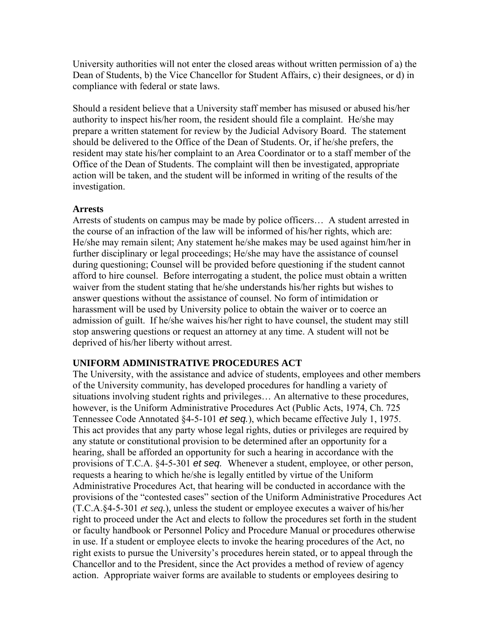University authorities will not enter the closed areas without written permission of a) the Dean of Students, b) the Vice Chancellor for Student Affairs, c) their designees, or d) in compliance with federal or state laws.

Should a resident believe that a University staff member has misused or abused his/her authority to inspect his/her room, the resident should file a complaint. He/she may prepare a written statement for review by the Judicial Advisory Board. The statement should be delivered to the Office of the Dean of Students. Or, if he/she prefers, the resident may state his/her complaint to an Area Coordinator or to a staff member of the Office of the Dean of Students. The complaint will then be investigated, appropriate action will be taken, and the student will be informed in writing of the results of the investigation.

# **Arrests**

Arrests of students on campus may be made by police officers… A student arrested in the course of an infraction of the law will be informed of his/her rights, which are: He/she may remain silent; Any statement he/she makes may be used against him/her in further disciplinary or legal proceedings; He/she may have the assistance of counsel during questioning; Counsel will be provided before questioning if the student cannot afford to hire counsel. Before interrogating a student, the police must obtain a written waiver from the student stating that he/she understands his/her rights but wishes to answer questions without the assistance of counsel. No form of intimidation or harassment will be used by University police to obtain the waiver or to coerce an admission of guilt. If he/she waives his/her right to have counsel, the student may still stop answering questions or request an attorney at any time. A student will not be deprived of his/her liberty without arrest.

# **UNIFORM ADMINISTRATIVE PROCEDURES ACT**

The University, with the assistance and advice of students, employees and other members of the University community, has developed procedures for handling a variety of situations involving student rights and privileges… An alternative to these procedures, however, is the Uniform Administrative Procedures Act (Public Acts, 1974, Ch. 725 Tennessee Code Annotated §4-5-101 *et seq.*), which became effective July 1, 1975. This act provides that any party whose legal rights, duties or privileges are required by any statute or constitutional provision to be determined after an opportunity for a hearing, shall be afforded an opportunity for such a hearing in accordance with the provisions of T.C.A. §4-5-301 *et seq.* Whenever a student, employee, or other person, requests a hearing to which he/she is legally entitled by virtue of the Uniform Administrative Procedures Act, that hearing will be conducted in accordance with the provisions of the "contested cases" section of the Uniform Administrative Procedures Act (T.C.A.§4-5-301 *et seq.*), unless the student or employee executes a waiver of his/her right to proceed under the Act and elects to follow the procedures set forth in the student or faculty handbook or Personnel Policy and Procedure Manual or procedures otherwise in use. If a student or employee elects to invoke the hearing procedures of the Act, no right exists to pursue the University's procedures herein stated, or to appeal through the Chancellor and to the President, since the Act provides a method of review of agency action. Appropriate waiver forms are available to students or employees desiring to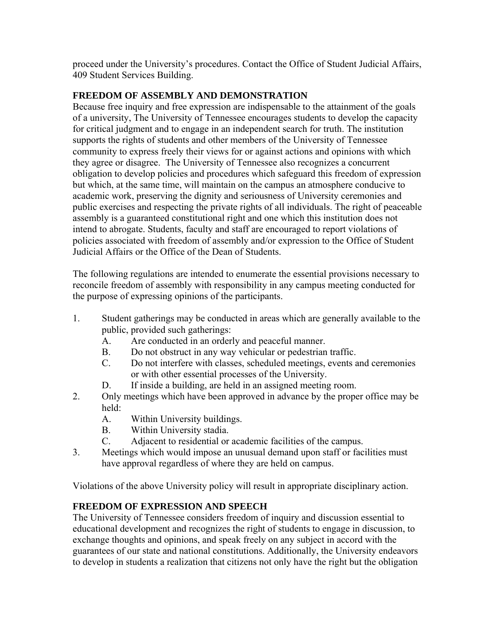proceed under the University's procedures. Contact the Office of Student Judicial Affairs, 409 Student Services Building.

# **FREEDOM OF ASSEMBLY AND DEMONSTRATION**

Because free inquiry and free expression are indispensable to the attainment of the goals of a university, The University of Tennessee encourages students to develop the capacity for critical judgment and to engage in an independent search for truth. The institution supports the rights of students and other members of the University of Tennessee community to express freely their views for or against actions and opinions with which they agree or disagree. The University of Tennessee also recognizes a concurrent obligation to develop policies and procedures which safeguard this freedom of expression but which, at the same time, will maintain on the campus an atmosphere conducive to academic work, preserving the dignity and seriousness of University ceremonies and public exercises and respecting the private rights of all individuals. The right of peaceable assembly is a guaranteed constitutional right and one which this institution does not intend to abrogate. Students, faculty and staff are encouraged to report violations of policies associated with freedom of assembly and/or expression to the Office of Student Judicial Affairs or the Office of the Dean of Students.

The following regulations are intended to enumerate the essential provisions necessary to reconcile freedom of assembly with responsibility in any campus meeting conducted for the purpose of expressing opinions of the participants.

- 1. Student gatherings may be conducted in areas which are generally available to the public, provided such gatherings:
	- A. Are conducted in an orderly and peaceful manner.
	- B. Do not obstruct in any way vehicular or pedestrian traffic.
	- C. Do not interfere with classes, scheduled meetings, events and ceremonies or with other essential processes of the University.
	- D. If inside a building, are held in an assigned meeting room.
- 2. Only meetings which have been approved in advance by the proper office may be held:
	- A. Within University buildings.
	- B. Within University stadia.
	- C. Adjacent to residential or academic facilities of the campus.
- 3. Meetings which would impose an unusual demand upon staff or facilities must have approval regardless of where they are held on campus.

Violations of the above University policy will result in appropriate disciplinary action.

# **FREEDOM OF EXPRESSION AND SPEECH**

The University of Tennessee considers freedom of inquiry and discussion essential to educational development and recognizes the right of students to engage in discussion, to exchange thoughts and opinions, and speak freely on any subject in accord with the guarantees of our state and national constitutions. Additionally, the University endeavors to develop in students a realization that citizens not only have the right but the obligation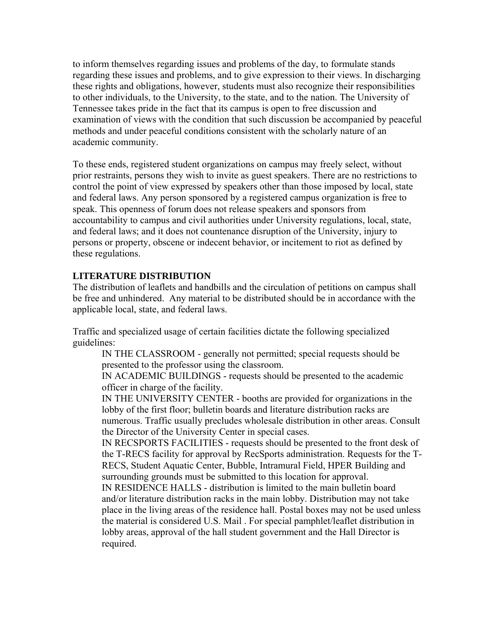to inform themselves regarding issues and problems of the day, to formulate stands regarding these issues and problems, and to give expression to their views. In discharging these rights and obligations, however, students must also recognize their responsibilities to other individuals, to the University, to the state, and to the nation. The University of Tennessee takes pride in the fact that its campus is open to free discussion and examination of views with the condition that such discussion be accompanied by peaceful methods and under peaceful conditions consistent with the scholarly nature of an academic community.

To these ends, registered student organizations on campus may freely select, without prior restraints, persons they wish to invite as guest speakers. There are no restrictions to control the point of view expressed by speakers other than those imposed by local, state and federal laws. Any person sponsored by a registered campus organization is free to speak. This openness of forum does not release speakers and sponsors from accountability to campus and civil authorities under University regulations, local, state, and federal laws; and it does not countenance disruption of the University, injury to persons or property, obscene or indecent behavior, or incitement to riot as defined by these regulations.

# **LITERATURE DISTRIBUTION**

The distribution of leaflets and handbills and the circulation of petitions on campus shall be free and unhindered. Any material to be distributed should be in accordance with the applicable local, state, and federal laws.

Traffic and specialized usage of certain facilities dictate the following specialized guidelines:

IN THE CLASSROOM - generally not permitted; special requests should be presented to the professor using the classroom.

IN ACADEMIC BUILDINGS - requests should be presented to the academic officer in charge of the facility.

IN THE UNIVERSITY CENTER - booths are provided for organizations in the lobby of the first floor; bulletin boards and literature distribution racks are numerous. Traffic usually precludes wholesale distribution in other areas. Consult the Director of the University Center in special cases.

IN RECSPORTS FACILITIES - requests should be presented to the front desk of the T-RECS facility for approval by RecSports administration. Requests for the T-RECS, Student Aquatic Center, Bubble, Intramural Field, HPER Building and surrounding grounds must be submitted to this location for approval.

IN RESIDENCE HALLS - distribution is limited to the main bulletin board and/or literature distribution racks in the main lobby. Distribution may not take place in the living areas of the residence hall. Postal boxes may not be used unless the material is considered U.S. Mail . For special pamphlet/leaflet distribution in lobby areas, approval of the hall student government and the Hall Director is required.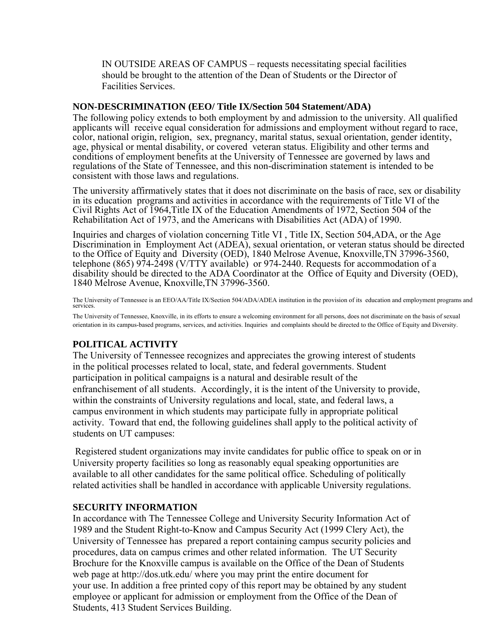IN OUTSIDE AREAS OF CAMPUS – requests necessitating special facilities should be brought to the attention of the Dean of Students or the Director of Facilities Services.

### **NON-DESCRIMINATION (EEO/ Title IX/Section 504 Statement/ADA)**

The following policy extends to both employment by and admission to the university. All qualified applicants will receive equal consideration for admissions and employment without regard to race, color, national origin, religion, sex, pregnancy, marital status, sexual orientation, gender identity, age, physical or mental disability, or covered veteran status. Eligibility and other terms and conditions of employment benefits at the University of Tennessee are governed by laws and regulations of the State of Tennessee, and this non-discrimination statement is intended to be consistent with those laws and regulations.

The university affirmatively states that it does not discriminate on the basis of race, sex or disability in its education programs and activities in accordance with the requirements of Title VI of the Civil Rights Act of 1964,Title IX of the Education Amendments of 1972, Section 504 of the Rehabilitation Act of 1973, and the Americans with Disabilities Act (ADA) of 1990.

Inquiries and charges of violation concerning Title VI , Title IX, Section 504,ADA, or the Age Discrimination in Employment Act (ADEA), sexual orientation, or veteran status should be directed to the Office of Equity and Diversity (OED), 1840 Melrose Avenue, Knoxville,TN 37996-3560, telephone (865) 974-2498 (V/TTY available) or 974-2440. Requests for accommodation of a disability should be directed to the ADA Coordinator at the Office of Equity and Diversity (OED), 1840 Melrose Avenue, Knoxville,TN 37996-3560.

The University of Tennessee is an EEO/AA/Title IX/Section 504/ADA/ADEA institution in the provision of its education and employment programs and services.

The University of Tennessee, Knoxville, in its efforts to ensure a welcoming environment for all persons, does not discriminate on the basis of sexual orientation in its campus-based programs, services, and activities. Inquiries and complaints should be directed to the Office of Equity and Diversity.

# **POLITICAL ACTIVITY**

The University of Tennessee recognizes and appreciates the growing interest of students in the political processes related to local, state, and federal governments. Student participation in political campaigns is a natural and desirable result of the enfranchisement of all students. Accordingly, it is the intent of the University to provide, within the constraints of University regulations and local, state, and federal laws, a campus environment in which students may participate fully in appropriate political activity. Toward that end, the following guidelines shall apply to the political activity of students on UT campuses:

Registered student organizations may invite candidates for public office to speak on or in University property facilities so long as reasonably equal speaking opportunities are available to all other candidates for the same political office. Scheduling of politically related activities shall be handled in accordance with applicable University regulations.

# **SECURITY INFORMATION**

In accordance with The Tennessee College and University Security Information Act of 1989 and the Student Right-to-Know and Campus Security Act (1999 Clery Act), the University of Tennessee has prepared a report containing campus security policies and procedures, data on campus crimes and other related information. The UT Security Brochure for the Knoxville campus is available on the Office of the Dean of Students web page at http://dos.utk.edu/ where you may print the entire document for your use. In addition a free printed copy of this report may be obtained by any student employee or applicant for admission or employment from the Office of the Dean of Students, 413 Student Services Building.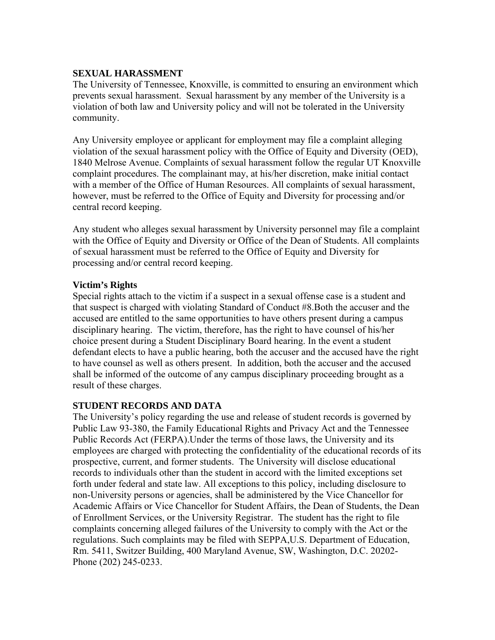# **SEXUAL HARASSMENT**

The University of Tennessee, Knoxville, is committed to ensuring an environment which prevents sexual harassment. Sexual harassment by any member of the University is a violation of both law and University policy and will not be tolerated in the University community.

Any University employee or applicant for employment may file a complaint alleging violation of the sexual harassment policy with the Office of Equity and Diversity (OED), 1840 Melrose Avenue. Complaints of sexual harassment follow the regular UT Knoxville complaint procedures. The complainant may, at his/her discretion, make initial contact with a member of the Office of Human Resources. All complaints of sexual harassment, however, must be referred to the Office of Equity and Diversity for processing and/or central record keeping.

Any student who alleges sexual harassment by University personnel may file a complaint with the Office of Equity and Diversity or Office of the Dean of Students. All complaints of sexual harassment must be referred to the Office of Equity and Diversity for processing and/or central record keeping.

# **Victim's Rights**

Special rights attach to the victim if a suspect in a sexual offense case is a student and that suspect is charged with violating Standard of Conduct #8.Both the accuser and the accused are entitled to the same opportunities to have others present during a campus disciplinary hearing. The victim, therefore, has the right to have counsel of his/her choice present during a Student Disciplinary Board hearing. In the event a student defendant elects to have a public hearing, both the accuser and the accused have the right to have counsel as well as others present. In addition, both the accuser and the accused shall be informed of the outcome of any campus disciplinary proceeding brought as a result of these charges.

# **STUDENT RECORDS AND DATA**

The University's policy regarding the use and release of student records is governed by Public Law 93-380, the Family Educational Rights and Privacy Act and the Tennessee Public Records Act (FERPA).Under the terms of those laws, the University and its employees are charged with protecting the confidentiality of the educational records of its prospective, current, and former students. The University will disclose educational records to individuals other than the student in accord with the limited exceptions set forth under federal and state law. All exceptions to this policy, including disclosure to non-University persons or agencies, shall be administered by the Vice Chancellor for Academic Affairs or Vice Chancellor for Student Affairs, the Dean of Students, the Dean of Enrollment Services, or the University Registrar. The student has the right to file complaints concerning alleged failures of the University to comply with the Act or the regulations. Such complaints may be filed with SEPPA,U.S. Department of Education, Rm. 5411, Switzer Building, 400 Maryland Avenue, SW, Washington, D.C. 20202- Phone (202) 245-0233.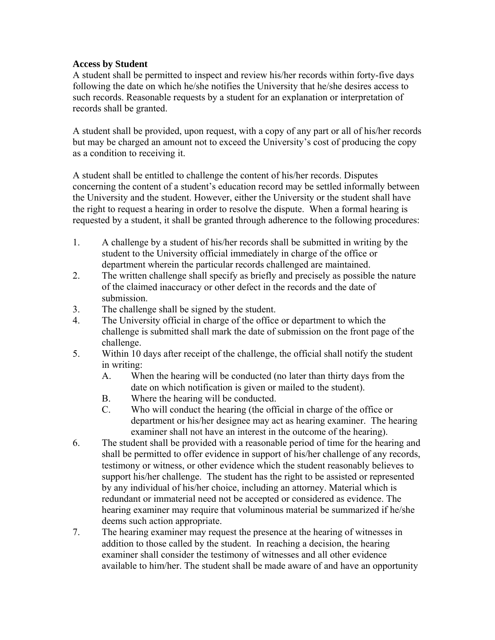# **Access by Student**

A student shall be permitted to inspect and review his/her records within forty-five days following the date on which he/she notifies the University that he/she desires access to such records. Reasonable requests by a student for an explanation or interpretation of records shall be granted.

A student shall be provided, upon request, with a copy of any part or all of his/her records but may be charged an amount not to exceed the University's cost of producing the copy as a condition to receiving it.

A student shall be entitled to challenge the content of his/her records. Disputes concerning the content of a student's education record may be settled informally between the University and the student. However, either the University or the student shall have the right to request a hearing in order to resolve the dispute. When a formal hearing is requested by a student, it shall be granted through adherence to the following procedures:

- 1. A challenge by a student of his/her records shall be submitted in writing by the student to the University official immediately in charge of the office or department wherein the particular records challenged are maintained.
- 2. The written challenge shall specify as briefly and precisely as possible the nature of the claimed inaccuracy or other defect in the records and the date of submission.
- 3. The challenge shall be signed by the student.
- 4. The University official in charge of the office or department to which the challenge is submitted shall mark the date of submission on the front page of the challenge.
- 5. Within 10 days after receipt of the challenge, the official shall notify the student in writing:
	- A. When the hearing will be conducted (no later than thirty days from the date on which notification is given or mailed to the student).
	- B. Where the hearing will be conducted.<br>C. Who will conduct the hearing (the off
	- Who will conduct the hearing (the official in charge of the office or department or his/her designee may act as hearing examiner. The hearing examiner shall not have an interest in the outcome of the hearing).
- 6. The student shall be provided with a reasonable period of time for the hearing and shall be permitted to offer evidence in support of his/her challenge of any records, testimony or witness, or other evidence which the student reasonably believes to support his/her challenge. The student has the right to be assisted or represented by any individual of his/her choice, including an attorney. Material which is redundant or immaterial need not be accepted or considered as evidence. The hearing examiner may require that voluminous material be summarized if he/she deems such action appropriate.
- 7. The hearing examiner may request the presence at the hearing of witnesses in addition to those called by the student. In reaching a decision, the hearing examiner shall consider the testimony of witnesses and all other evidence available to him/her. The student shall be made aware of and have an opportunity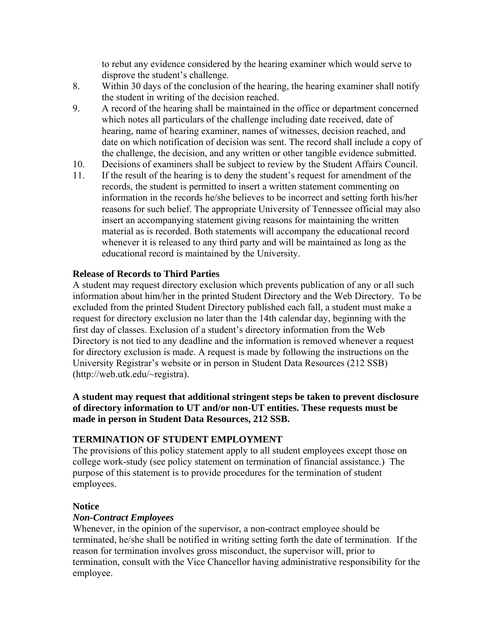to rebut any evidence considered by the hearing examiner which would serve to disprove the student's challenge.

- 8. Within 30 days of the conclusion of the hearing, the hearing examiner shall notify the student in writing of the decision reached.
- 9. A record of the hearing shall be maintained in the office or department concerned which notes all particulars of the challenge including date received, date of hearing, name of hearing examiner, names of witnesses, decision reached, and date on which notification of decision was sent. The record shall include a copy of the challenge, the decision, and any written or other tangible evidence submitted.
- 10. Decisions of examiners shall be subject to review by the Student Affairs Council.
- 11. If the result of the hearing is to deny the student's request for amendment of the records, the student is permitted to insert a written statement commenting on information in the records he/she believes to be incorrect and setting forth his/her reasons for such belief. The appropriate University of Tennessee official may also insert an accompanying statement giving reasons for maintaining the written material as is recorded. Both statements will accompany the educational record whenever it is released to any third party and will be maintained as long as the educational record is maintained by the University.

# **Release of Records to Third Parties**

A student may request directory exclusion which prevents publication of any or all such information about him/her in the printed Student Directory and the Web Directory. To be excluded from the printed Student Directory published each fall, a student must make a request for directory exclusion no later than the 14th calendar day, beginning with the first day of classes. Exclusion of a student's directory information from the Web Directory is not tied to any deadline and the information is removed whenever a request for directory exclusion is made. A request is made by following the instructions on the University Registrar's website or in person in Student Data Resources (212 SSB) (http://web.utk.edu/~registra).

# **A student may request that additional stringent steps be taken to prevent disclosure of directory information to UT and/or non-UT entities. These requests must be made in person in Student Data Resources, 212 SSB.**

# **TERMINATION OF STUDENT EMPLOYMENT**

The provisions of this policy statement apply to all student employees except those on college work-study (see policy statement on termination of financial assistance.) The purpose of this statement is to provide procedures for the termination of student employees.

# **Notice**

# *Non-Contract Employees*

Whenever, in the opinion of the supervisor, a non-contract employee should be terminated, he/she shall be notified in writing setting forth the date of termination. If the reason for termination involves gross misconduct, the supervisor will, prior to termination, consult with the Vice Chancellor having administrative responsibility for the employee.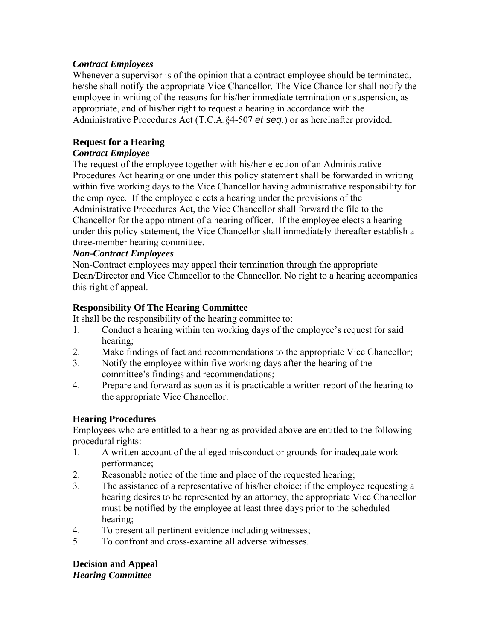# *Contract Employees*

Whenever a supervisor is of the opinion that a contract employee should be terminated, he/she shall notify the appropriate Vice Chancellor. The Vice Chancellor shall notify the employee in writing of the reasons for his/her immediate termination or suspension, as appropriate, and of his/her right to request a hearing in accordance with the Administrative Procedures Act (T.C.A.§4-507 *et seq.*) or as hereinafter provided.

# **Request for a Hearing**

# *Contract Employee*

The request of the employee together with his/her election of an Administrative Procedures Act hearing or one under this policy statement shall be forwarded in writing within five working days to the Vice Chancellor having administrative responsibility for the employee. If the employee elects a hearing under the provisions of the Administrative Procedures Act, the Vice Chancellor shall forward the file to the Chancellor for the appointment of a hearing officer. If the employee elects a hearing under this policy statement, the Vice Chancellor shall immediately thereafter establish a three-member hearing committee.

# *Non-Contract Employees*

Non-Contract employees may appeal their termination through the appropriate Dean/Director and Vice Chancellor to the Chancellor. No right to a hearing accompanies this right of appeal.

# **Responsibility Of The Hearing Committee**

It shall be the responsibility of the hearing committee to:

- 1. Conduct a hearing within ten working days of the employee's request for said hearing;
- 2. Make findings of fact and recommendations to the appropriate Vice Chancellor;
- 3. Notify the employee within five working days after the hearing of the committee's findings and recommendations;
- 4. Prepare and forward as soon as it is practicable a written report of the hearing to the appropriate Vice Chancellor.

# **Hearing Procedures**

Employees who are entitled to a hearing as provided above are entitled to the following procedural rights:

- 1. A written account of the alleged misconduct or grounds for inadequate work performance;
- 2. Reasonable notice of the time and place of the requested hearing;
- 3. The assistance of a representative of his/her choice; if the employee requesting a hearing desires to be represented by an attorney, the appropriate Vice Chancellor must be notified by the employee at least three days prior to the scheduled hearing;
- 4. To present all pertinent evidence including witnesses;
- 5. To confront and cross-examine all adverse witnesses.

**Decision and Appeal**  *Hearing Committee*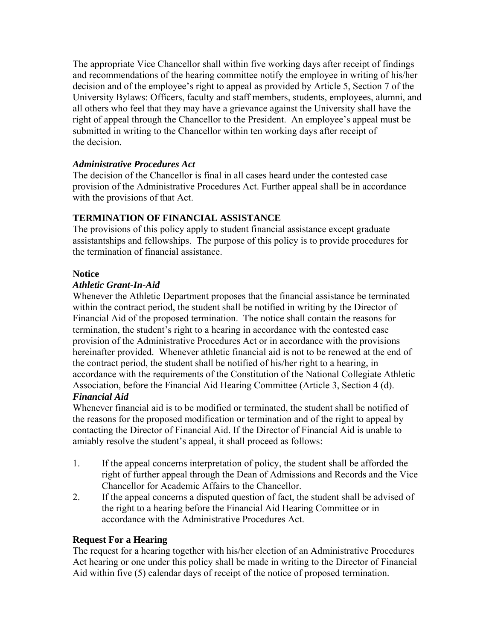The appropriate Vice Chancellor shall within five working days after receipt of findings and recommendations of the hearing committee notify the employee in writing of his/her decision and of the employee's right to appeal as provided by Article 5, Section 7 of the University Bylaws: Officers, faculty and staff members, students, employees, alumni, and all others who feel that they may have a grievance against the University shall have the right of appeal through the Chancellor to the President. An employee's appeal must be submitted in writing to the Chancellor within ten working days after receipt of the decision.

# *Administrative Procedures Act*

The decision of the Chancellor is final in all cases heard under the contested case provision of the Administrative Procedures Act. Further appeal shall be in accordance with the provisions of that Act.

# **TERMINATION OF FINANCIAL ASSISTANCE**

The provisions of this policy apply to student financial assistance except graduate assistantships and fellowships. The purpose of this policy is to provide procedures for the termination of financial assistance.

# **Notice**

# *Athletic Grant-In-Aid*

Whenever the Athletic Department proposes that the financial assistance be terminated within the contract period, the student shall be notified in writing by the Director of Financial Aid of the proposed termination. The notice shall contain the reasons for termination, the student's right to a hearing in accordance with the contested case provision of the Administrative Procedures Act or in accordance with the provisions hereinafter provided. Whenever athletic financial aid is not to be renewed at the end of the contract period, the student shall be notified of his/her right to a hearing, in accordance with the requirements of the Constitution of the National Collegiate Athletic Association, before the Financial Aid Hearing Committee (Article 3, Section 4 (d).

# *Financial Aid*

Whenever financial aid is to be modified or terminated, the student shall be notified of the reasons for the proposed modification or termination and of the right to appeal by contacting the Director of Financial Aid. If the Director of Financial Aid is unable to amiably resolve the student's appeal, it shall proceed as follows:

- 1. If the appeal concerns interpretation of policy, the student shall be afforded the right of further appeal through the Dean of Admissions and Records and the Vice Chancellor for Academic Affairs to the Chancellor.
- 2. If the appeal concerns a disputed question of fact, the student shall be advised of the right to a hearing before the Financial Aid Hearing Committee or in accordance with the Administrative Procedures Act.

# **Request For a Hearing**

The request for a hearing together with his/her election of an Administrative Procedures Act hearing or one under this policy shall be made in writing to the Director of Financial Aid within five (5) calendar days of receipt of the notice of proposed termination.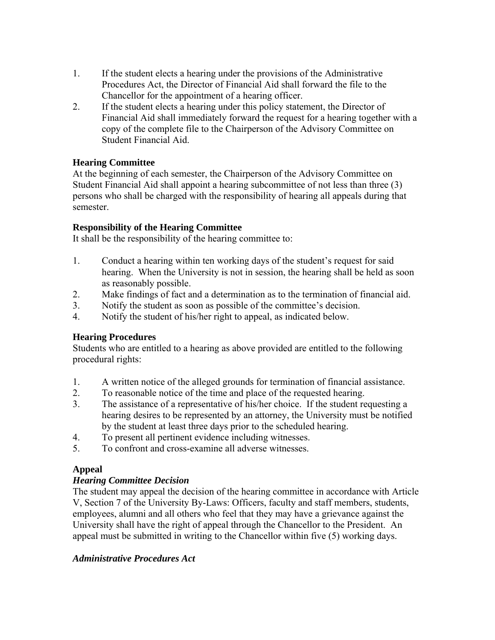- 1. If the student elects a hearing under the provisions of the Administrative Procedures Act, the Director of Financial Aid shall forward the file to the Chancellor for the appointment of a hearing officer.
- 2. If the student elects a hearing under this policy statement, the Director of Financial Aid shall immediately forward the request for a hearing together with a copy of the complete file to the Chairperson of the Advisory Committee on Student Financial Aid.

# **Hearing Committee**

At the beginning of each semester, the Chairperson of the Advisory Committee on Student Financial Aid shall appoint a hearing subcommittee of not less than three (3) persons who shall be charged with the responsibility of hearing all appeals during that semester.

# **Responsibility of the Hearing Committee**

It shall be the responsibility of the hearing committee to:

- 1. Conduct a hearing within ten working days of the student's request for said hearing. When the University is not in session, the hearing shall be held as soon as reasonably possible.
- 2. Make findings of fact and a determination as to the termination of financial aid.
- 3. Notify the student as soon as possible of the committee's decision.
- 4. Notify the student of his/her right to appeal, as indicated below.

# **Hearing Procedures**

Students who are entitled to a hearing as above provided are entitled to the following procedural rights:

- 1. A written notice of the alleged grounds for termination of financial assistance.
- 2. To reasonable notice of the time and place of the requested hearing.
- 3. The assistance of a representative of his/her choice. If the student requesting a hearing desires to be represented by an attorney, the University must be notified by the student at least three days prior to the scheduled hearing.
- 4. To present all pertinent evidence including witnesses.
- 5. To confront and cross-examine all adverse witnesses.

# **Appeal**

# *Hearing Committee Decision*

The student may appeal the decision of the hearing committee in accordance with Article V, Section 7 of the University By-Laws: Officers, faculty and staff members, students, employees, alumni and all others who feel that they may have a grievance against the University shall have the right of appeal through the Chancellor to the President. An appeal must be submitted in writing to the Chancellor within five (5) working days.

# *Administrative Procedures Act*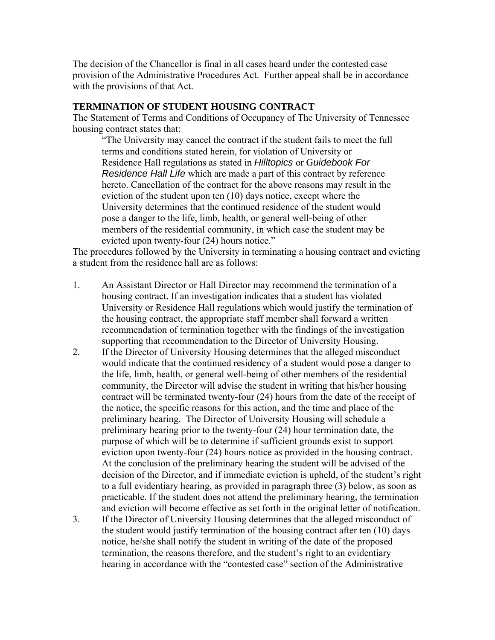The decision of the Chancellor is final in all cases heard under the contested case provision of the Administrative Procedures Act. Further appeal shall be in accordance with the provisions of that Act.

# **TERMINATION OF STUDENT HOUSING CONTRACT**

The Statement of Terms and Conditions of Occupancy of The University of Tennessee housing contract states that:

"The University may cancel the contract if the student fails to meet the full terms and conditions stated herein, for violation of University or Residence Hall regulations as stated in *Hilltopics* or G*uidebook For Residence Hall Life* which are made a part of this contract by reference hereto. Cancellation of the contract for the above reasons may result in the eviction of the student upon ten (10) days notice, except where the University determines that the continued residence of the student would pose a danger to the life, limb, health, or general well-being of other members of the residential community, in which case the student may be evicted upon twenty-four (24) hours notice."

The procedures followed by the University in terminating a housing contract and evicting a student from the residence hall are as follows:

- 1. An Assistant Director or Hall Director may recommend the termination of a housing contract. If an investigation indicates that a student has violated University or Residence Hall regulations which would justify the termination of the housing contract, the appropriate staff member shall forward a written recommendation of termination together with the findings of the investigation supporting that recommendation to the Director of University Housing.
- 2. If the Director of University Housing determines that the alleged misconduct would indicate that the continued residency of a student would pose a danger to the life, limb, health, or general well-being of other members of the residential community, the Director will advise the student in writing that his/her housing contract will be terminated twenty-four (24) hours from the date of the receipt of the notice, the specific reasons for this action, and the time and place of the preliminary hearing. The Director of University Housing will schedule a preliminary hearing prior to the twenty-four (24) hour termination date, the purpose of which will be to determine if sufficient grounds exist to support eviction upon twenty-four (24) hours notice as provided in the housing contract. At the conclusion of the preliminary hearing the student will be advised of the decision of the Director, and if immediate eviction is upheld, of the student's right to a full evidentiary hearing, as provided in paragraph three (3) below, as soon as practicable. If the student does not attend the preliminary hearing, the termination and eviction will become effective as set forth in the original letter of notification.
- 3. If the Director of University Housing determines that the alleged misconduct of the student would justify termination of the housing contract after ten (10) days notice, he/she shall notify the student in writing of the date of the proposed termination, the reasons therefore, and the student's right to an evidentiary hearing in accordance with the "contested case" section of the Administrative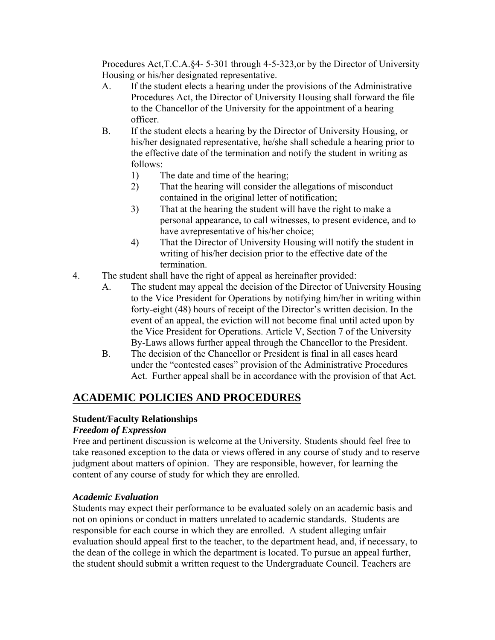Procedures Act,T.C.A.§4- 5-301 through 4-5-323,or by the Director of University Housing or his/her designated representative.

- A. If the student elects a hearing under the provisions of the Administrative Procedures Act, the Director of University Housing shall forward the file to the Chancellor of the University for the appointment of a hearing officer.
- B. If the student elects a hearing by the Director of University Housing, or his/her designated representative, he/she shall schedule a hearing prior to the effective date of the termination and notify the student in writing as follows:
	- 1) The date and time of the hearing;
	- 2) That the hearing will consider the allegations of misconduct contained in the original letter of notification;
	- 3) That at the hearing the student will have the right to make a personal appearance, to call witnesses, to present evidence, and to have avrepresentative of his/her choice;
	- 4) That the Director of University Housing will notify the student in writing of his/her decision prior to the effective date of the termination.
- 4. The student shall have the right of appeal as hereinafter provided:
	- A. The student may appeal the decision of the Director of University Housing to the Vice President for Operations by notifying him/her in writing within forty-eight (48) hours of receipt of the Director's written decision. In the event of an appeal, the eviction will not become final until acted upon by the Vice President for Operations. Article V, Section 7 of the University By-Laws allows further appeal through the Chancellor to the President.
	- B. The decision of the Chancellor or President is final in all cases heard under the "contested cases" provision of the Administrative Procedures Act. Further appeal shall be in accordance with the provision of that Act.

# **ACADEMIC POLICIES AND PROCEDURES**

# **Student/Faculty Relationships**

# *Freedom of Expression*

Free and pertinent discussion is welcome at the University. Students should feel free to take reasoned exception to the data or views offered in any course of study and to reserve judgment about matters of opinion. They are responsible, however, for learning the content of any course of study for which they are enrolled.

# *Academic Evaluation*

Students may expect their performance to be evaluated solely on an academic basis and not on opinions or conduct in matters unrelated to academic standards. Students are responsible for each course in which they are enrolled. A student alleging unfair evaluation should appeal first to the teacher, to the department head, and, if necessary, to the dean of the college in which the department is located. To pursue an appeal further, the student should submit a written request to the Undergraduate Council. Teachers are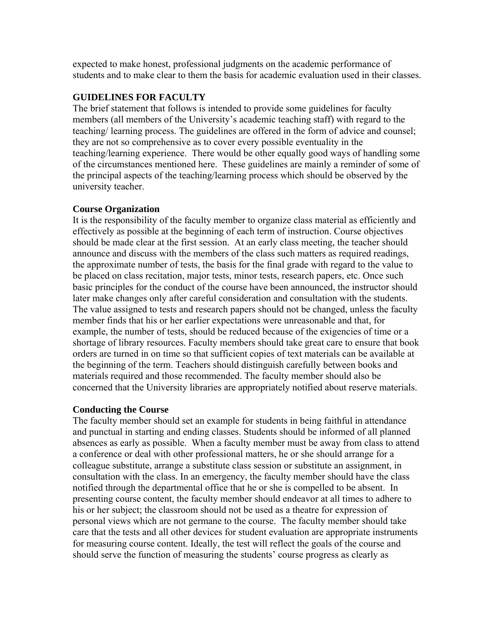expected to make honest, professional judgments on the academic performance of students and to make clear to them the basis for academic evaluation used in their classes.

# **GUIDELINES FOR FACULTY**

The brief statement that follows is intended to provide some guidelines for faculty members (all members of the University's academic teaching staff) with regard to the teaching/ learning process. The guidelines are offered in the form of advice and counsel; they are not so comprehensive as to cover every possible eventuality in the teaching/learning experience. There would be other equally good ways of handling some of the circumstances mentioned here. These guidelines are mainly a reminder of some of the principal aspects of the teaching/learning process which should be observed by the university teacher.

# **Course Organization**

It is the responsibility of the faculty member to organize class material as efficiently and effectively as possible at the beginning of each term of instruction. Course objectives should be made clear at the first session. At an early class meeting, the teacher should announce and discuss with the members of the class such matters as required readings, the approximate number of tests, the basis for the final grade with regard to the value to be placed on class recitation, major tests, minor tests, research papers, etc. Once such basic principles for the conduct of the course have been announced, the instructor should later make changes only after careful consideration and consultation with the students. The value assigned to tests and research papers should not be changed, unless the faculty member finds that his or her earlier expectations were unreasonable and that, for example, the number of tests, should be reduced because of the exigencies of time or a shortage of library resources. Faculty members should take great care to ensure that book orders are turned in on time so that sufficient copies of text materials can be available at the beginning of the term. Teachers should distinguish carefully between books and materials required and those recommended. The faculty member should also be concerned that the University libraries are appropriately notified about reserve materials.

# **Conducting the Course**

The faculty member should set an example for students in being faithful in attendance and punctual in starting and ending classes. Students should be informed of all planned absences as early as possible. When a faculty member must be away from class to attend a conference or deal with other professional matters, he or she should arrange for a colleague substitute, arrange a substitute class session or substitute an assignment, in consultation with the class. In an emergency, the faculty member should have the class notified through the departmental office that he or she is compelled to be absent. In presenting course content, the faculty member should endeavor at all times to adhere to his or her subject; the classroom should not be used as a theatre for expression of personal views which are not germane to the course. The faculty member should take care that the tests and all other devices for student evaluation are appropriate instruments for measuring course content. Ideally, the test will reflect the goals of the course and should serve the function of measuring the students' course progress as clearly as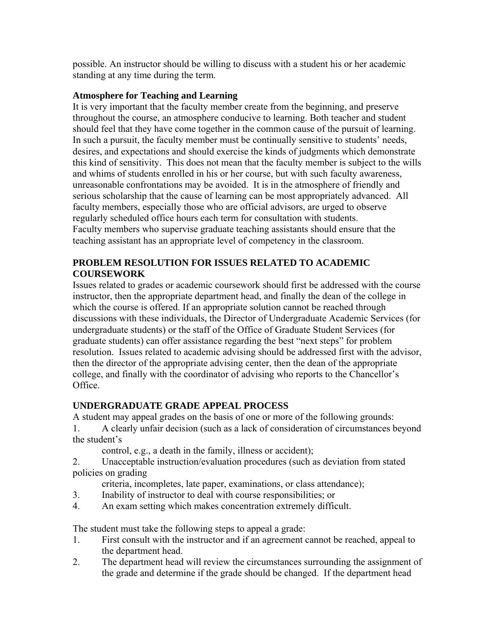possible. An instructor should be willing to discuss with a student his or her academic standing at any time during the term.

# **Atmosphere for Teaching and Learning**

It is very important that the faculty member create from the beginning, and preserve throughout the course, an atmosphere conducive to learning. Both teacher and student should feel that they have come together in the common cause of the pursuit of learning. In such a pursuit, the faculty member must be continually sensitive to students' needs, desires, and expectations and should exercise the kinds of judgments which demonstrate this kind of sensitivity. This does not mean that the faculty member is subject to the wills and whims of students enrolled in his or her course, but with such faculty awareness, unreasonable confrontations may be avoided. It is in the atmosphere of friendly and serious scholarship that the cause of learning can be most appropriately advanced. All faculty members, especially those who are official advisors, are urged to observe regularly scheduled office hours each term for consultation with students. Faculty members who supervise graduate teaching assistants should ensure that the teaching assistant has an appropriate level of competency in the classroom.

# **PROBLEM RESOLUTION FOR ISSUES RELATED TO ACADEMIC COURSEWORK**

Issues related to grades or academic coursework should first be addressed with the course instructor, then the appropriate department head, and finally the dean of the college in which the course is offered. If an appropriate solution cannot be reached through discussions with these individuals, the Director of Undergraduate Academic Services (for undergraduate students) or the staff of the Office of Graduate Student Services (for graduate students) can offer assistance regarding the best "next steps" for problem resolution. Issues related to academic advising should be addressed first with the advisor, then the director of the appropriate advising center, then the dean of the appropriate college, and finally with the coordinator of advising who reports to the Chancellor's Office.

# **UNDERGRADUATE GRADE APPEAL PROCESS**

A student may appeal grades on the basis of one or more of the following grounds:

1. A clearly unfair decision (such as a lack of consideration of circumstances beyond the student's

control, e.g., a death in the family, illness or accident);

2. Unacceptable instruction/evaluation procedures (such as deviation from stated policies on grading

criteria, incompletes, late paper, examinations, or class attendance);

- 3. Inability of instructor to deal with course responsibilities; or
- 4. An exam setting which makes concentration extremely difficult.

The student must take the following steps to appeal a grade:

- 1. First consult with the instructor and if an agreement cannot be reached, appeal to the department head.
- 2. The department head will review the circumstances surrounding the assignment of the grade and determine if the grade should be changed. If the department head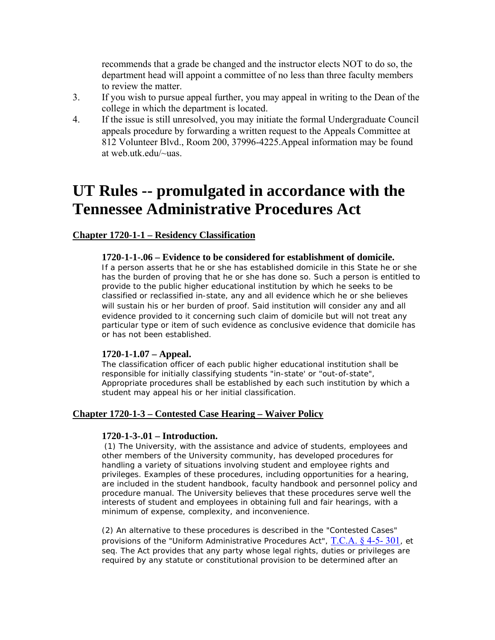recommends that a grade be changed and the instructor elects NOT to do so, the department head will appoint a committee of no less than three faculty members to review the matter.

- 3. If you wish to pursue appeal further, you may appeal in writing to the Dean of the college in which the department is located.
- 4. If the issue is still unresolved, you may initiate the formal Undergraduate Council appeals procedure by forwarding a written request to the Appeals Committee at 812 Volunteer Blvd., Room 200, 37996-4225.Appeal information may be found at web utk edu/~uas

# **UT Rules -- promulgated in accordance with the Tennessee Administrative Procedures Act**

# **Chapter 1720-1-1 – Residency Classification**

### **1720-1-1-.06 – Evidence to be considered for establishment of domicile.**

If a person asserts that he or she has established domicile in this State he or she has the burden of proving that he or she has done so. Such a person is entitled to provide to the public higher educational institution by which he seeks to be classified or reclassified in-state, any and all evidence which he or she believes will sustain his or her burden of proof. Said institution will consider any and all evidence provided to it concerning such claim of domicile but will not treat any particular type or item of such evidence as conclusive evidence that domicile has or has not been established.

### **1720-1-1.07 – Appeal.**

The classification officer of each public higher educational institution shall be responsible for initially classifying students "in-state' or "out-of-state", Appropriate procedures shall be established by each such institution by which a student may appeal his or her initial classification.

# **Chapter 1720-1-3 – Contested Case Hearing – Waiver Policy**

### **1720-1-3-.01 – Introduction.**

(1) The University, with the assistance and advice of students, employees and other members of the University community, has developed procedures for handling a variety of situations involving student and employee rights and privileges. Examples of these procedures, including opportunities for a hearing, are included in the student handbook, faculty handbook and personnel policy and procedure manual. The University believes that these procedures serve well the interests of student and employees in obtaining full and fair hearings, with a minimum of expense, complexity, and inconvenience.

(2) An alternative to these procedures is described in the "Contested Cases" provisions of the "Uniform Administrative Procedures Act", [T.C.A. § 4-5- 301](http://web2.westlaw.com/find/default.wl?DB=1000039&DocName=TNSTS4%2D5%2D301&FindType=L&AP=&mt=LawSchoolPractitioner&fn=_top&sv=Split&vr=2.0&rs=WLW6.02), et seq. The Act provides that any party whose legal rights, duties or privileges are required by any statute or constitutional provision to be determined after an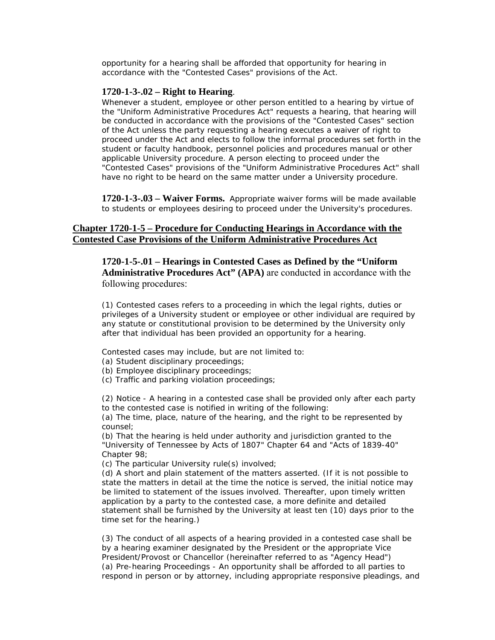opportunity for a hearing shall be afforded that opportunity for hearing in accordance with the "Contested Cases" provisions of the Act.

### **1720-1-3-.02 – Right to Hearing**.

Whenever a student, employee or other person entitled to a hearing by virtue of the "Uniform Administrative Procedures Act" requests a hearing, that hearing will be conducted in accordance with the provisions of the "Contested Cases" section of the Act unless the party requesting a hearing executes a waiver of right to proceed under the Act and elects to follow the informal procedures set forth in the student or faculty handbook, personnel policies and procedures manual or other applicable University procedure. A person electing to proceed under the "Contested Cases" provisions of the "Uniform Administrative Procedures Act" shall have no right to be heard on the same matter under a University procedure.

**1720-1-3-.03 – Waiver Forms.** Appropriate waiver forms will be made available to students or employees desiring to proceed under the University's procedures.

### **Chapter 1720-1-5 – Procedure for Conducting Hearings in Accordance with the Contested Case Provisions of the Uniform Administrative Procedures Act**

**1720-1-5-.01 – Hearings in Contested Cases as Defined by the "Uniform Administrative Procedures Act" (APA)** are conducted in accordance with the following procedures:

(1) Contested cases refers to a proceeding in which the legal rights, duties or privileges of a University student or employee or other individual are required by any statute or constitutional provision to be determined by the University only after that individual has been provided an opportunity for a hearing.

Contested cases may include, but are not limited to:

- (a) Student disciplinary proceedings;
- (b) Employee disciplinary proceedings;
- (c) Traffic and parking violation proceedings;

(2) Notice - A hearing in a contested case shall be provided only after each party to the contested case is notified in writing of the following:

(a) The time, place, nature of the hearing, and the right to be represented by counsel;

(b) That the hearing is held under authority and jurisdiction granted to the "University of Tennessee by Acts of 1807" Chapter 64 and "Acts of 1839-40" Chapter 98;

(c) The particular University rule(s) involved;

(d) A short and plain statement of the matters asserted. (If it is not possible to state the matters in detail at the time the notice is served, the initial notice may be limited to statement of the issues involved. Thereafter, upon timely written application by a party to the contested case, a more definite and detailed statement shall be furnished by the University at least ten (10) days prior to the time set for the hearing.)

(3) The conduct of all aspects of a hearing provided in a contested case shall be by a hearing examiner designated by the President or the appropriate Vice President/Provost or Chancellor (hereinafter referred to as "Agency Head") (a) Pre-hearing Proceedings - An opportunity shall be afforded to all parties to respond in person or by attorney, including appropriate responsive pleadings, and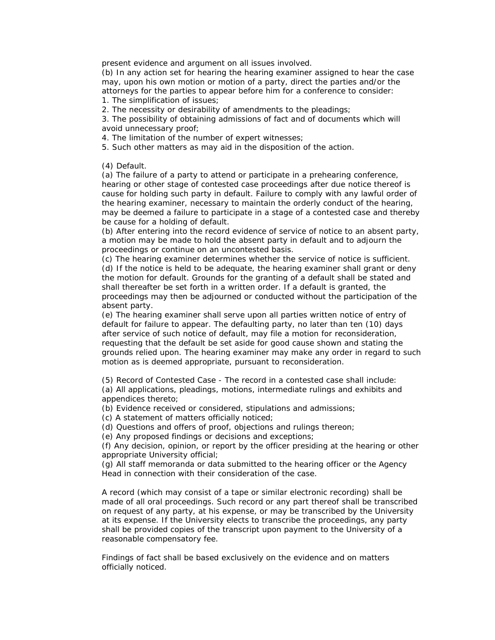present evidence and argument on all issues involved.

(b) In any action set for hearing the hearing examiner assigned to hear the case may, upon his own motion or motion of a party, direct the parties and/or the attorneys for the parties to appear before him for a conference to consider: 1. The simplification of issues;

2. The necessity or desirability of amendments to the pleadings;

3. The possibility of obtaining admissions of fact and of documents which will avoid unnecessary proof;

4. The limitation of the number of expert witnesses;

5. Such other matters as may aid in the disposition of the action.

(4) Default.

(a) The failure of a party to attend or participate in a prehearing conference, hearing or other stage of contested case proceedings after due notice thereof is cause for holding such party in default. Failure to comply with any lawful order of the hearing examiner, necessary to maintain the orderly conduct of the hearing, may be deemed a failure to participate in a stage of a contested case and thereby be cause for a holding of default.

(b) After entering into the record evidence of service of notice to an absent party, a motion may be made to hold the absent party in default and to adjourn the proceedings or continue on an uncontested basis.

(c) The hearing examiner determines whether the service of notice is sufficient. (d) If the notice is held to be adequate, the hearing examiner shall grant or deny the motion for default. Grounds for the granting of a default shall be stated and shall thereafter be set forth in a written order. If a default is granted, the proceedings may then be adjourned or conducted without the participation of the absent party.

(e) The hearing examiner shall serve upon all parties written notice of entry of default for failure to appear. The defaulting party, no later than ten (10) days after service of such notice of default, may file a motion for reconsideration, requesting that the default be set aside for good cause shown and stating the grounds relied upon. The hearing examiner may make any order in regard to such motion as is deemed appropriate, pursuant to reconsideration.

(5) Record of Contested Case - The record in a contested case shall include: (a) All applications, pleadings, motions, intermediate rulings and exhibits and appendices thereto;

(b) Evidence received or considered, stipulations and admissions;

(c) A statement of matters officially noticed;

(d) Questions and offers of proof, objections and rulings thereon;

(e) Any proposed findings or decisions and exceptions;

(f) Any decision, opinion, or report by the officer presiding at the hearing or other appropriate University official;

(g) All staff memoranda or data submitted to the hearing officer or the Agency Head in connection with their consideration of the case.

A record (which may consist of a tape or similar electronic recording) shall be made of all oral proceedings. Such record or any part thereof shall be transcribed on request of any party, at his expense, or may be transcribed by the University at its expense. If the University elects to transcribe the proceedings, any party shall be provided copies of the transcript upon payment to the University of a reasonable compensatory fee.

Findings of fact shall be based exclusively on the evidence and on matters officially noticed.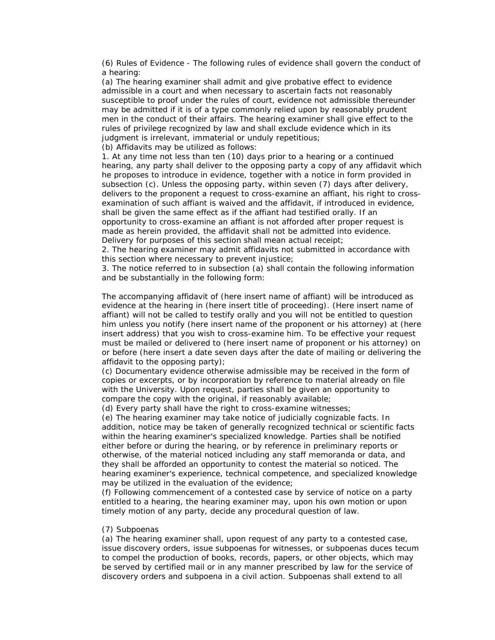(6) Rules of Evidence - The following rules of evidence shall govern the conduct of a hearing:

(a) The hearing examiner shall admit and give probative effect to evidence admissible in a court and when necessary to ascertain facts not reasonably susceptible to proof under the rules of court, evidence not admissible thereunder may be admitted if it is of a type commonly relied upon by reasonably prudent men in the conduct of their affairs. The hearing examiner shall give effect to the rules of privilege recognized by law and shall exclude evidence which in its judgment is irrelevant, immaterial or unduly repetitious;

(b) Affidavits may be utilized as follows:

1. At any time not less than ten (10) days prior to a hearing or a continued hearing, any party shall deliver to the opposing party a copy of any affidavit which he proposes to introduce in evidence, together with a notice in form provided in subsection (c). Unless the opposing party, within seven (7) days after delivery, delivers to the proponent a request to cross-examine an affiant, his right to crossexamination of such affiant is waived and the affidavit, if introduced in evidence, shall be given the same effect as if the affiant had testified orally. If an opportunity to cross-examine an affiant is not afforded after proper request is made as herein provided, the affidavit shall not be admitted into evidence. Delivery for purposes of this section shall mean actual receipt;

2. The hearing examiner may admit affidavits not submitted in accordance with this section where necessary to prevent injustice;

3. The notice referred to in subsection (a) shall contain the following information and be substantially in the following form:

The accompanying affidavit of (here insert name of affiant) will be introduced as evidence at the hearing in (here insert title of proceeding). (Here insert name of affiant) will not be called to testify orally and you will not be entitled to question him unless you notify (here insert name of the proponent or his attorney) at (here insert address) that you wish to cross-examine him. To be effective your request must be mailed or delivered to (here insert name of proponent or his attorney) on or before (here insert a date seven days after the date of mailing or delivering the affidavit to the opposing party);

(c) Documentary evidence otherwise admissible may be received in the form of copies or excerpts, or by incorporation by reference to material already on file with the University. Upon request, parties shall be given an opportunity to compare the copy with the original, if reasonably available;

(d) Every party shall have the right to cross-examine witnesses;

(e) The hearing examiner may take notice of judicially cognizable facts. In addition, notice may be taken of generally recognized technical or scientific facts within the hearing examiner's specialized knowledge. Parties shall be notified either before or during the hearing, or by reference in preliminary reports or otherwise, of the material noticed including any staff memoranda or data, and they shall be afforded an opportunity to contest the material so noticed. The hearing examiner's experience, technical competence, and specialized knowledge may be utilized in the evaluation of the evidence;

(f) Following commencement of a contested case by service of notice on a party entitled to a hearing, the hearing examiner may, upon his own motion or upon timely motion of any party, decide any procedural question of law.

### (7) Subpoenas

(a) The hearing examiner shall, upon request of any party to a contested case, issue discovery orders, issue subpoenas for witnesses, or subpoenas duces tecum to compel the production of books, records, papers, or other objects, which may be served by certified mail or in any manner prescribed by law for the service of discovery orders and subpoena in a civil action. Subpoenas shall extend to all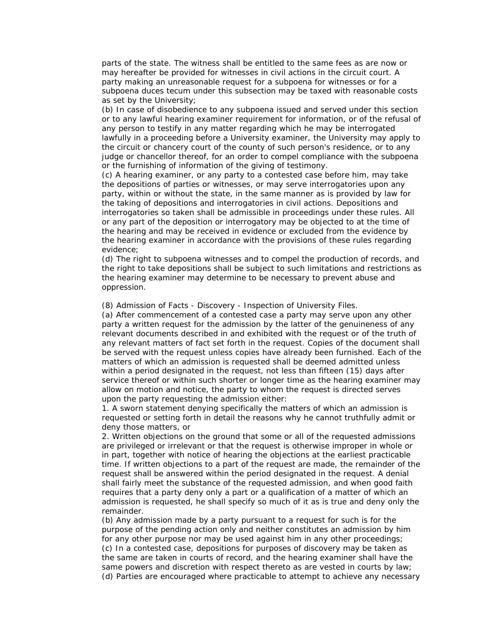parts of the state. The witness shall be entitled to the same fees as are now or may hereafter be provided for witnesses in civil actions in the circuit court. A party making an unreasonable request for a subpoena for witnesses or for a subpoena duces tecum under this subsection may be taxed with reasonable costs as set by the University;

(b) In case of disobedience to any subpoena issued and served under this section or to any lawful hearing examiner requirement for information, or of the refusal of any person to testify in any matter regarding which he may be interrogated lawfully in a proceeding before a University examiner, the University may apply to the circuit or chancery court of the county of such person's residence, or to any judge or chancellor thereof, for an order to compel compliance with the subpoena or the furnishing of information of the giving of testimony.

(c) A hearing examiner, or any party to a contested case before him, may take the depositions of parties or witnesses, or may serve interrogatories upon any party, within or without the state, in the same manner as is provided by law for the taking of depositions and interrogatories in civil actions. Depositions and interrogatories so taken shall be admissible in proceedings under these rules. All or any part of the deposition or interrogatory may be objected to at the time of the hearing and may be received in evidence or excluded from the evidence by the hearing examiner in accordance with the provisions of these rules regarding evidence;

(d) The right to subpoena witnesses and to compel the production of records, and the right to take depositions shall be subject to such limitations and restrictions as the hearing examiner may determine to be necessary to prevent abuse and oppression.

(8) Admission of Facts - Discovery - Inspection of University Files.

(a) After commencement of a contested case a party may serve upon any other party a written request for the admission by the latter of the genuineness of any relevant documents described in and exhibited with the request or of the truth of any relevant matters of fact set forth in the request. Copies of the document shall be served with the request unless copies have already been furnished. Each of the matters of which an admission is requested shall be deemed admitted unless within a period designated in the request, not less than fifteen (15) days after service thereof or within such shorter or longer time as the hearing examiner may allow on motion and notice, the party to whom the request is directed serves upon the party requesting the admission either:

1. A sworn statement denying specifically the matters of which an admission is requested or setting forth in detail the reasons why he cannot truthfully admit or deny those matters, or

2. Written objections on the ground that some or all of the requested admissions are privileged or irrelevant or that the request is otherwise improper in whole or in part, together with notice of hearing the objections at the earliest practicable time. If written objections to a part of the request are made, the remainder of the request shall be answered within the period designated in the request. A denial shall fairly meet the substance of the requested admission, and when good faith requires that a party deny only a part or a qualification of a matter of which an admission is requested, he shall specify so much of it as is true and deny only the remainder.

(b) Any admission made by a party pursuant to a request for such is for the purpose of the pending action only and neither constitutes an admission by him for any other purpose nor may be used against him in any other proceedings; (c) In a contested case, depositions for purposes of discovery may be taken as the same are taken in courts of record, and the hearing examiner shall have the same powers and discretion with respect thereto as are vested in courts by law; (d) Parties are encouraged where practicable to attempt to achieve any necessary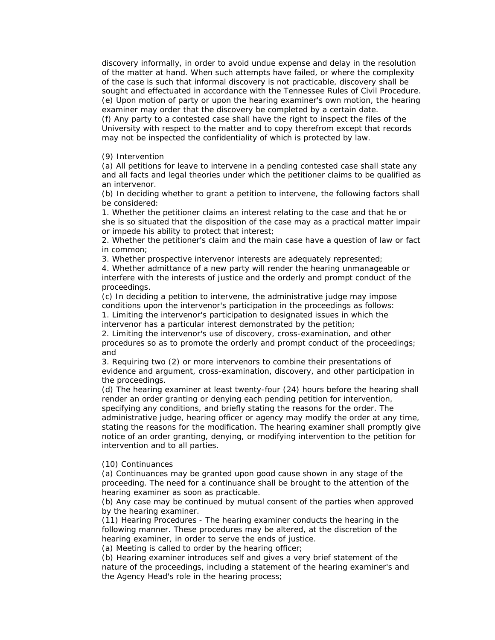discovery informally, in order to avoid undue expense and delay in the resolution of the matter at hand. When such attempts have failed, or where the complexity of the case is such that informal discovery is not practicable, discovery shall be sought and effectuated in accordance with the Tennessee Rules of Civil Procedure. (e) Upon motion of party or upon the hearing examiner's own motion, the hearing examiner may order that the discovery be completed by a certain date.

(f) Any party to a contested case shall have the right to inspect the files of the University with respect to the matter and to copy therefrom except that records may not be inspected the confidentiality of which is protected by law.

#### (9) Intervention

(a) All petitions for leave to intervene in a pending contested case shall state any and all facts and legal theories under which the petitioner claims to be qualified as an intervenor.

(b) In deciding whether to grant a petition to intervene, the following factors shall be considered:

1. Whether the petitioner claims an interest relating to the case and that he or she is so situated that the disposition of the case may as a practical matter impair or impede his ability to protect that interest;

2. Whether the petitioner's claim and the main case have a question of law or fact in common;

3. Whether prospective intervenor interests are adequately represented;

4. Whether admittance of a new party will render the hearing unmanageable or interfere with the interests of justice and the orderly and prompt conduct of the proceedings.

(c) In deciding a petition to intervene, the administrative judge may impose conditions upon the intervenor's participation in the proceedings as follows:

1. Limiting the intervenor's participation to designated issues in which the intervenor has a particular interest demonstrated by the petition;

2. Limiting the intervenor's use of discovery, cross-examination, and other procedures so as to promote the orderly and prompt conduct of the proceedings; and

3. Requiring two (2) or more intervenors to combine their presentations of evidence and argument, cross-examination, discovery, and other participation in the proceedings.

(d) The hearing examiner at least twenty-four (24) hours before the hearing shall render an order granting or denying each pending petition for intervention, specifying any conditions, and briefly stating the reasons for the order. The administrative judge, hearing officer or agency may modify the order at any time, stating the reasons for the modification. The hearing examiner shall promptly give notice of an order granting, denying, or modifying intervention to the petition for intervention and to all parties.

#### (10) Continuances

(a) Continuances may be granted upon good cause shown in any stage of the proceeding. The need for a continuance shall be brought to the attention of the hearing examiner as soon as practicable.

(b) Any case may be continued by mutual consent of the parties when approved by the hearing examiner.

(11) Hearing Procedures - The hearing examiner conducts the hearing in the following manner. These procedures may be altered, at the discretion of the hearing examiner, in order to serve the ends of justice.

(a) Meeting is called to order by the hearing officer;

(b) Hearing examiner introduces self and gives a very brief statement of the nature of the proceedings, including a statement of the hearing examiner's and the Agency Head's role in the hearing process;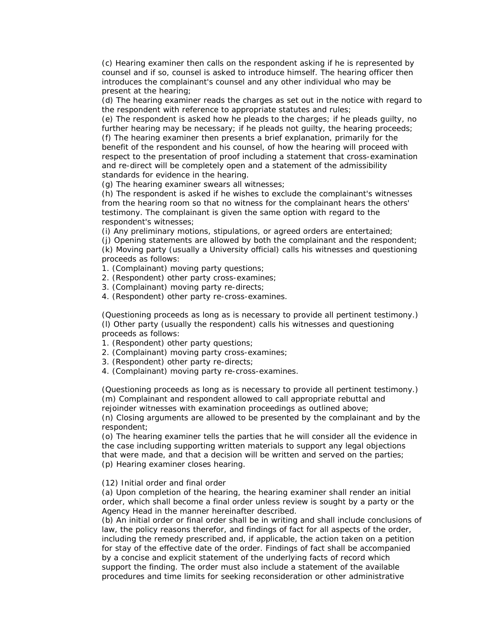(c) Hearing examiner then calls on the respondent asking if he is represented by counsel and if so, counsel is asked to introduce himself. The hearing officer then introduces the complainant's counsel and any other individual who may be present at the hearing;

(d) The hearing examiner reads the charges as set out in the notice with regard to the respondent with reference to appropriate statutes and rules;

(e) The respondent is asked how he pleads to the charges; if he pleads guilty, no further hearing may be necessary; if he pleads not guilty, the hearing proceeds; (f) The hearing examiner then presents a brief explanation, primarily for the benefit of the respondent and his counsel, of how the hearing will proceed with respect to the presentation of proof including a statement that cross-examination and re-direct will be completely open and a statement of the admissibility standards for evidence in the hearing.

(g) The hearing examiner swears all witnesses;

(h) The respondent is asked if he wishes to exclude the complainant's witnesses from the hearing room so that no witness for the complainant hears the others' testimony. The complainant is given the same option with regard to the respondent's witnesses;

(i) Any preliminary motions, stipulations, or agreed orders are entertained;

(j) Opening statements are allowed by both the complainant and the respondent; (k) Moving party (usually a University official) calls his witnesses and questioning proceeds as follows:

1. (Complainant) moving party questions;

2. (Respondent) other party cross-examines;

- 3. (Complainant) moving party re-directs;
- 4. (Respondent) other party re-cross-examines.

(Questioning proceeds as long as is necessary to provide all pertinent testimony.) (l) Other party (usually the respondent) calls his witnesses and questioning proceeds as follows:

- 1. (Respondent) other party questions;
- 2. (Complainant) moving party cross-examines;
- 3. (Respondent) other party re-directs;
- 4. (Complainant) moving party re-cross-examines.

(Questioning proceeds as long as is necessary to provide all pertinent testimony.) (m) Complainant and respondent allowed to call appropriate rebuttal and rejoinder witnesses with examination proceedings as outlined above;

(n) Closing arguments are allowed to be presented by the complainant and by the respondent;

(o) The hearing examiner tells the parties that he will consider all the evidence in the case including supporting written materials to support any legal objections that were made, and that a decision will be written and served on the parties; (p) Hearing examiner closes hearing.

#### (12) Initial order and final order

(a) Upon completion of the hearing, the hearing examiner shall render an initial order, which shall become a final order unless review is sought by a party or the Agency Head in the manner hereinafter described.

(b) An initial order or final order shall be in writing and shall include conclusions of law, the policy reasons therefor, and findings of fact for all aspects of the order, including the remedy prescribed and, if applicable, the action taken on a petition for stay of the effective date of the order. Findings of fact shall be accompanied by a concise and explicit statement of the underlying facts of record which support the finding. The order must also include a statement of the available procedures and time limits for seeking reconsideration or other administrative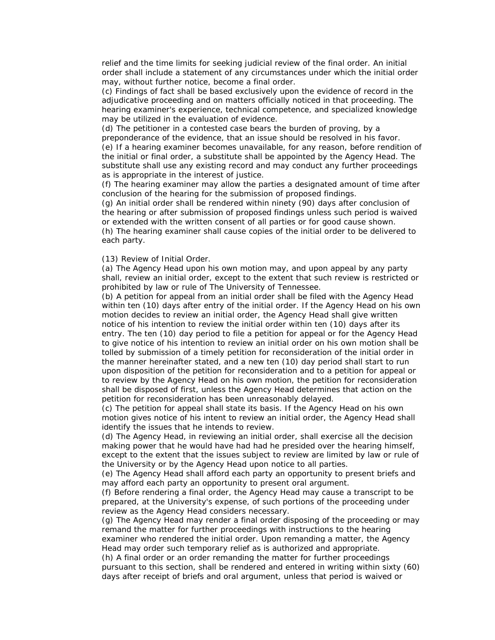relief and the time limits for seeking judicial review of the final order. An initial order shall include a statement of any circumstances under which the initial order may, without further notice, become a final order.

(c) Findings of fact shall be based exclusively upon the evidence of record in the adjudicative proceeding and on matters officially noticed in that proceeding. The hearing examiner's experience, technical competence, and specialized knowledge may be utilized in the evaluation of evidence.

(d) The petitioner in a contested case bears the burden of proving, by a preponderance of the evidence, that an issue should be resolved in his favor. (e) If a hearing examiner becomes unavailable, for any reason, before rendition of the initial or final order, a substitute shall be appointed by the Agency Head. The substitute shall use any existing record and may conduct any further proceedings as is appropriate in the interest of justice.

(f) The hearing examiner may allow the parties a designated amount of time after conclusion of the hearing for the submission of proposed findings.

(g) An initial order shall be rendered within ninety (90) days after conclusion of the hearing or after submission of proposed findings unless such period is waived or extended with the written consent of all parties or for good cause shown.

(h) The hearing examiner shall cause copies of the initial order to be delivered to each party.

#### (13) Review of Initial Order.

(a) The Agency Head upon his own motion may, and upon appeal by any party shall, review an initial order, except to the extent that such review is restricted or prohibited by law or rule of The University of Tennessee.

(b) A petition for appeal from an initial order shall be filed with the Agency Head within ten (10) days after entry of the initial order. If the Agency Head on his own motion decides to review an initial order, the Agency Head shall give written notice of his intention to review the initial order within ten (10) days after its entry. The ten (10) day period to file a petition for appeal or for the Agency Head to give notice of his intention to review an initial order on his own motion shall be tolled by submission of a timely petition for reconsideration of the initial order in the manner hereinafter stated, and a new ten (10) day period shall start to run upon disposition of the petition for reconsideration and to a petition for appeal or to review by the Agency Head on his own motion, the petition for reconsideration shall be disposed of first, unless the Agency Head determines that action on the petition for reconsideration has been unreasonably delayed.

(c) The petition for appeal shall state its basis. If the Agency Head on his own motion gives notice of his intent to review an initial order, the Agency Head shall identify the issues that he intends to review.

(d) The Agency Head, in reviewing an initial order, shall exercise all the decision making power that he would have had had he presided over the hearing himself, except to the extent that the issues subject to review are limited by law or rule of the University or by the Agency Head upon notice to all parties.

(e) The Agency Head shall afford each party an opportunity to present briefs and may afford each party an opportunity to present oral argument.

(f) Before rendering a final order, the Agency Head may cause a transcript to be prepared, at the University's expense, of such portions of the proceeding under review as the Agency Head considers necessary.

(g) The Agency Head may render a final order disposing of the proceeding or may remand the matter for further proceedings with instructions to the hearing examiner who rendered the initial order. Upon remanding a matter, the Agency Head may order such temporary relief as is authorized and appropriate.

(h) A final order or an order remanding the matter for further proceedings pursuant to this section, shall be rendered and entered in writing within sixty (60) days after receipt of briefs and oral argument, unless that period is waived or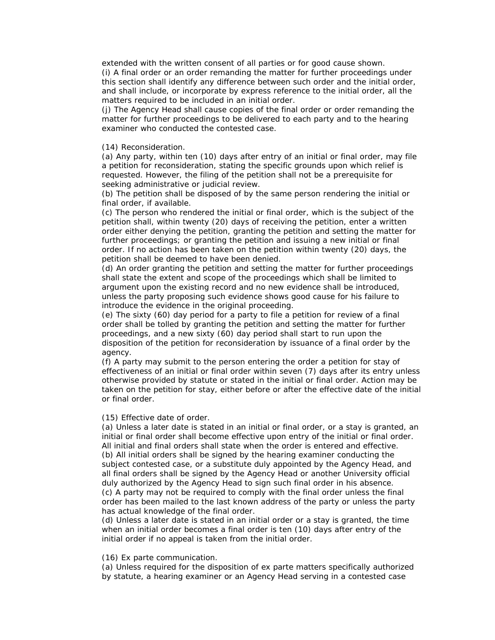extended with the written consent of all parties or for good cause shown. (i) A final order or an order remanding the matter for further proceedings under this section shall identify any difference between such order and the initial order, and shall include, or incorporate by express reference to the initial order, all the matters required to be included in an initial order.

(j) The Agency Head shall cause copies of the final order or order remanding the matter for further proceedings to be delivered to each party and to the hearing examiner who conducted the contested case.

#### (14) Reconsideration.

(a) Any party, within ten (10) days after entry of an initial or final order, may file a petition for reconsideration, stating the specific grounds upon which relief is requested. However, the filing of the petition shall not be a prerequisite for seeking administrative or judicial review.

(b) The petition shall be disposed of by the same person rendering the initial or final order, if available.

(c) The person who rendered the initial or final order, which is the subject of the petition shall, within twenty (20) days of receiving the petition, enter a written order either denying the petition, granting the petition and setting the matter for further proceedings; or granting the petition and issuing a new initial or final order. If no action has been taken on the petition within twenty (20) days, the petition shall be deemed to have been denied.

(d) An order granting the petition and setting the matter for further proceedings shall state the extent and scope of the proceedings which shall be limited to argument upon the existing record and no new evidence shall be introduced, unless the party proposing such evidence shows good cause for his failure to introduce the evidence in the original proceeding.

(e) The sixty (60) day period for a party to file a petition for review of a final order shall be tolled by granting the petition and setting the matter for further proceedings, and a new sixty (60) day period shall start to run upon the disposition of the petition for reconsideration by issuance of a final order by the agency.

(f) A party may submit to the person entering the order a petition for stay of effectiveness of an initial or final order within seven (7) days after its entry unless otherwise provided by statute or stated in the initial or final order. Action may be taken on the petition for stay, either before or after the effective date of the initial or final order.

#### (15) Effective date of order.

(a) Unless a later date is stated in an initial or final order, or a stay is granted, an initial or final order shall become effective upon entry of the initial or final order. All initial and final orders shall state when the order is entered and effective. (b) All initial orders shall be signed by the hearing examiner conducting the subject contested case, or a substitute duly appointed by the Agency Head, and all final orders shall be signed by the Agency Head or another University official duly authorized by the Agency Head to sign such final order in his absence. (c) A party may not be required to comply with the final order unless the final order has been mailed to the last known address of the party or unless the party has actual knowledge of the final order.

(d) Unless a later date is stated in an initial order or a stay is granted, the time when an initial order becomes a final order is ten (10) days after entry of the initial order if no appeal is taken from the initial order.

#### (16) Ex parte communication.

(a) Unless required for the disposition of ex parte matters specifically authorized by statute, a hearing examiner or an Agency Head serving in a contested case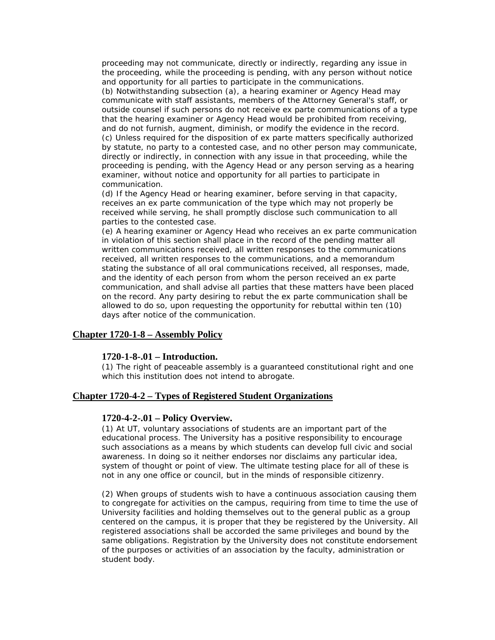proceeding may not communicate, directly or indirectly, regarding any issue in the proceeding, while the proceeding is pending, with any person without notice and opportunity for all parties to participate in the communications.

(b) Notwithstanding subsection (a), a hearing examiner or Agency Head may communicate with staff assistants, members of the Attorney General's staff, or outside counsel if such persons do not receive ex parte communications of a type that the hearing examiner or Agency Head would be prohibited from receiving, and do not furnish, augment, diminish, or modify the evidence in the record. (c) Unless required for the disposition of ex parte matters specifically authorized by statute, no party to a contested case, and no other person may communicate, directly or indirectly, in connection with any issue in that proceeding, while the proceeding is pending, with the Agency Head or any person serving as a hearing examiner, without notice and opportunity for all parties to participate in communication.

(d) If the Agency Head or hearing examiner, before serving in that capacity, receives an ex parte communication of the type which may not properly be received while serving, he shall promptly disclose such communication to all parties to the contested case.

(e) A hearing examiner or Agency Head who receives an ex parte communication in violation of this section shall place in the record of the pending matter all written communications received, all written responses to the communications received, all written responses to the communications, and a memorandum stating the substance of all oral communications received, all responses, made, and the identity of each person from whom the person received an ex parte communication, and shall advise all parties that these matters have been placed on the record. Any party desiring to rebut the ex parte communication shall be allowed to do so, upon requesting the opportunity for rebuttal within ten (10) days after notice of the communication.

#### **Chapter 1720-1-8 – Assembly Policy**

### **1720-1-8-.01 – Introduction.**

(1) The right of peaceable assembly is a guaranteed constitutional right and one which this institution does not intend to abrogate.

### **Chapter 1720-4-2 – Types of Registered Student Organizations**

#### **1720-4-2-.01 – Policy Overview.**

(1) At UT, voluntary associations of students are an important part of the educational process. The University has a positive responsibility to encourage such associations as a means by which students can develop full civic and social awareness. In doing so it neither endorses nor disclaims any particular idea, system of thought or point of view. The ultimate testing place for all of these is not in any one office or council, but in the minds of responsible citizenry.

(2) When groups of students wish to have a continuous association causing them to congregate for activities on the campus, requiring from time to time the use of University facilities and holding themselves out to the general public as a group centered on the campus, it is proper that they be registered by the University. All registered associations shall be accorded the same privileges and bound by the same obligations. Registration by the University does not constitute endorsement of the purposes or activities of an association by the faculty, administration or student body.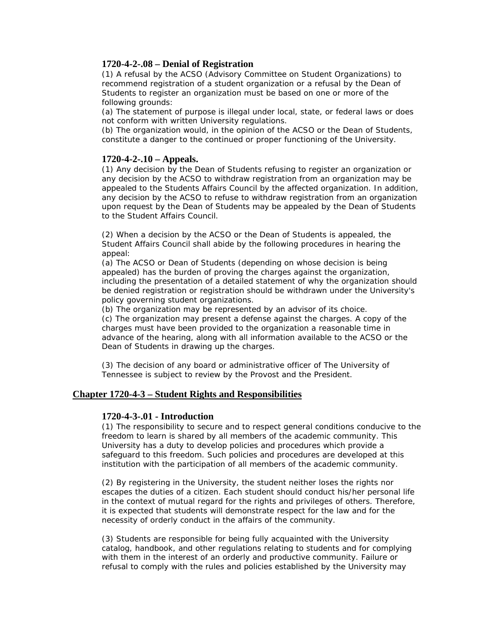### **1720-4-2-.08 – Denial of Registration**

(1) A refusal by the ACSO (Advisory Committee on Student Organizations) to recommend registration of a student organization or a refusal by the Dean of Students to register an organization must be based on one or more of the following grounds:

(a) The statement of purpose is illegal under local, state, or federal laws or does not conform with written University regulations.

(b) The organization would, in the opinion of the ACSO or the Dean of Students, constitute a danger to the continued or proper functioning of the University.

### **1720-4-2-.10 – Appeals.**

(1) Any decision by the Dean of Students refusing to register an organization or any decision by the ACSO to withdraw registration from an organization may be appealed to the Students Affairs Council by the affected organization. In addition, any decision by the ACSO to refuse to withdraw registration from an organization upon request by the Dean of Students may be appealed by the Dean of Students to the Student Affairs Council.

(2) When a decision by the ACSO or the Dean of Students is appealed, the Student Affairs Council shall abide by the following procedures in hearing the appeal:

(a) The ACSO or Dean of Students (depending on whose decision is being appealed) has the burden of proving the charges against the organization, including the presentation of a detailed statement of why the organization should be denied registration or registration should be withdrawn under the University's policy governing student organizations.

(b) The organization may be represented by an advisor of its choice.

(c) The organization may present a defense against the charges. A copy of the charges must have been provided to the organization a reasonable time in advance of the hearing, along with all information available to the ACSO or the Dean of Students in drawing up the charges.

(3) The decision of any board or administrative officer of The University of Tennessee is subject to review by the Provost and the President.

### **Chapter 1720-4-3 – Student Rights and Responsibilities**

### **1720-4-3-.01 - Introduction**

(1) The responsibility to secure and to respect general conditions conducive to the freedom to learn is shared by all members of the academic community. This University has a duty to develop policies and procedures which provide a safeguard to this freedom. Such policies and procedures are developed at this institution with the participation of all members of the academic community.

(2) By registering in the University, the student neither loses the rights nor escapes the duties of a citizen. Each student should conduct his/her personal life in the context of mutual regard for the rights and privileges of others. Therefore, it is expected that students will demonstrate respect for the law and for the necessity of orderly conduct in the affairs of the community.

(3) Students are responsible for being fully acquainted with the University catalog, handbook, and other regulations relating to students and for complying with them in the interest of an orderly and productive community. Failure or refusal to comply with the rules and policies established by the University may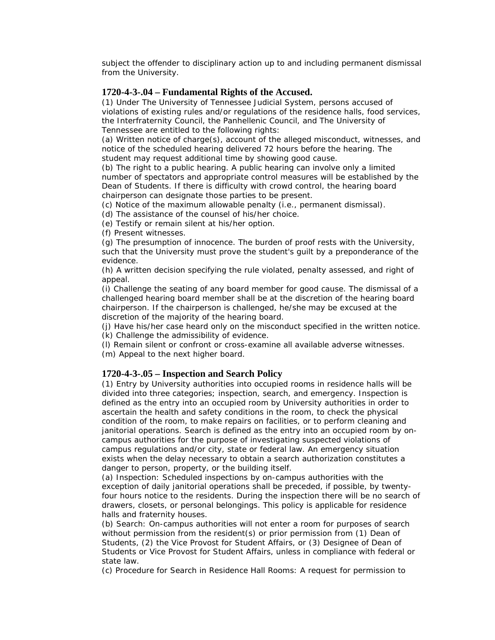subject the offender to disciplinary action up to and including permanent dismissal from the University.

### **1720-4-3-.04 – Fundamental Rights of the Accused.**

(1) Under The University of Tennessee Judicial System, persons accused of violations of existing rules and/or regulations of the residence halls, food services, the Interfraternity Council, the Panhellenic Council, and The University of Tennessee are entitled to the following rights:

(a) Written notice of charge(s), account of the alleged misconduct, witnesses, and notice of the scheduled hearing delivered 72 hours before the hearing. The student may request additional time by showing good cause.

(b) The right to a public hearing. A public hearing can involve only a limited number of spectators and appropriate control measures will be established by the Dean of Students. If there is difficulty with crowd control, the hearing board chairperson can designate those parties to be present.

(c) Notice of the maximum allowable penalty (i.e., permanent dismissal).

(d) The assistance of the counsel of his/her choice.

(e) Testify or remain silent at his/her option.

(f) Present witnesses.

(g) The presumption of innocence. The burden of proof rests with the University, such that the University must prove the student's guilt by a preponderance of the evidence.

(h) A written decision specifying the rule violated, penalty assessed, and right of appeal.

(i) Challenge the seating of any board member for good cause. The dismissal of a challenged hearing board member shall be at the discretion of the hearing board chairperson. If the chairperson is challenged, he/she may be excused at the discretion of the majority of the hearing board.

(j) Have his/her case heard only on the misconduct specified in the written notice. (k) Challenge the admissibility of evidence.

(l) Remain silent or confront or cross-examine all available adverse witnesses.

(m) Appeal to the next higher board.

### **1720-4-3-.05 – Inspection and Search Policy**

(1) Entry by University authorities into occupied rooms in residence halls will be divided into three categories; inspection, search, and emergency. Inspection is defined as the entry into an occupied room by University authorities in order to ascertain the health and safety conditions in the room, to check the physical condition of the room, to make repairs on facilities, or to perform cleaning and janitorial operations. Search is defined as the entry into an occupied room by oncampus authorities for the purpose of investigating suspected violations of campus regulations and/or city, state or federal law. An emergency situation exists when the delay necessary to obtain a search authorization constitutes a danger to person, property, or the building itself.

(a) Inspection: Scheduled inspections by on-campus authorities with the exception of daily janitorial operations shall be preceded, if possible, by twentyfour hours notice to the residents. During the inspection there will be no search of drawers, closets, or personal belongings. This policy is applicable for residence halls and fraternity houses.

(b) Search: On-campus authorities will not enter a room for purposes of search without permission from the resident(s) or prior permission from (1) Dean of Students, (2) the Vice Provost for Student Affairs, or (3) Designee of Dean of Students or Vice Provost for Student Affairs, unless in compliance with federal or state law.

(c) Procedure for Search in Residence Hall Rooms: A request for permission to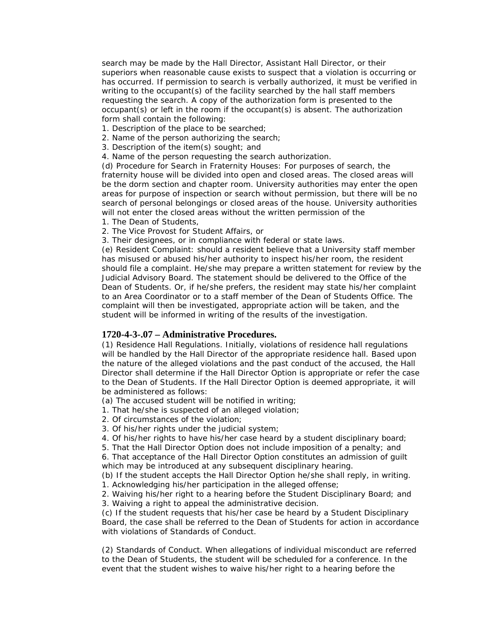search may be made by the Hall Director, Assistant Hall Director, or their superiors when reasonable cause exists to suspect that a violation is occurring or has occurred. If permission to search is verbally authorized, it must be verified in writing to the occupant(s) of the facility searched by the hall staff members requesting the search. A copy of the authorization form is presented to the occupant(s) or left in the room if the occupant(s) is absent. The authorization form shall contain the following:

- 1. Description of the place to be searched;
- 2. Name of the person authorizing the search;
- 3. Description of the item(s) sought; and
- 4. Name of the person requesting the search authorization.

(d) Procedure for Search in Fraternity Houses: For purposes of search, the fraternity house will be divided into open and closed areas. The closed areas will be the dorm section and chapter room. University authorities may enter the open areas for purpose of inspection or search without permission, but there will be no search of personal belongings or closed areas of the house. University authorities will not enter the closed areas without the written permission of the

- 1. The Dean of Students,
- 2. The Vice Provost for Student Affairs, or
- 3. Their designees, or in compliance with federal or state laws.

(e) Resident Complaint: should a resident believe that a University staff member has misused or abused his/her authority to inspect his/her room, the resident should file a complaint. He/she may prepare a written statement for review by the Judicial Advisory Board. The statement should be delivered to the Office of the Dean of Students. Or, if he/she prefers, the resident may state his/her complaint to an Area Coordinator or to a staff member of the Dean of Students Office. The complaint will then be investigated, appropriate action will be taken, and the student will be informed in writing of the results of the investigation.

#### **1720-4-3-.07 – Administrative Procedures.**

(1) Residence Hall Regulations. Initially, violations of residence hall regulations will be handled by the Hall Director of the appropriate residence hall. Based upon the nature of the alleged violations and the past conduct of the accused, the Hall Director shall determine if the Hall Director Option is appropriate or refer the case to the Dean of Students. If the Hall Director Option is deemed appropriate, it will be administered as follows:

(a) The accused student will be notified in writing;

- 1. That he/she is suspected of an alleged violation;
- 2. Of circumstances of the violation;
- 3. Of his/her rights under the judicial system;
- 4. Of his/her rights to have his/her case heard by a student disciplinary board;

5. That the Hall Director Option does not include imposition of a penalty; and

6. That acceptance of the Hall Director Option constitutes an admission of guilt which may be introduced at any subsequent disciplinary hearing.

(b) If the student accepts the Hall Director Option he/she shall reply, in writing.

1. Acknowledging his/her participation in the alleged offense;

2. Waiving his/her right to a hearing before the Student Disciplinary Board; and 3. Waiving a right to appeal the administrative decision.

(c) If the student requests that his/her case be heard by a Student Disciplinary Board, the case shall be referred to the Dean of Students for action in accordance with violations of Standards of Conduct.

(2) Standards of Conduct. When allegations of individual misconduct are referred to the Dean of Students, the student will be scheduled for a conference. In the event that the student wishes to waive his/her right to a hearing before the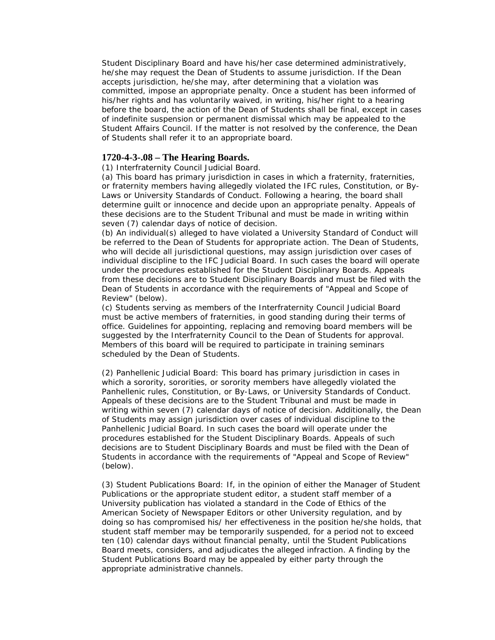Student Disciplinary Board and have his/her case determined administratively, he/she may request the Dean of Students to assume jurisdiction. If the Dean accepts jurisdiction, he/she may, after determining that a violation was committed, impose an appropriate penalty. Once a student has been informed of his/her rights and has voluntarily waived, in writing, his/her right to a hearing before the board, the action of the Dean of Students shall be final, except in cases of indefinite suspension or permanent dismissal which may be appealed to the Student Affairs Council. If the matter is not resolved by the conference, the Dean of Students shall refer it to an appropriate board.

### **1720-4-3-.08 – The Hearing Boards.**

(1) Interfraternity Council Judicial Board.

(a) This board has primary jurisdiction in cases in which a fraternity, fraternities, or fraternity members having allegedly violated the IFC rules, Constitution, or By-Laws or University Standards of Conduct. Following a hearing, the board shall determine guilt or innocence and decide upon an appropriate penalty. Appeals of these decisions are to the Student Tribunal and must be made in writing within seven (7) calendar days of notice of decision.

(b) An individual(s) alleged to have violated a University Standard of Conduct will be referred to the Dean of Students for appropriate action. The Dean of Students, who will decide all jurisdictional questions, may assign jurisdiction over cases of individual discipline to the IFC Judicial Board. In such cases the board will operate under the procedures established for the Student Disciplinary Boards. Appeals from these decisions are to Student Disciplinary Boards and must be filed with the Dean of Students in accordance with the requirements of "Appeal and Scope of Review" (below).

(c) Students serving as members of the Interfraternity Council Judicial Board must be active members of fraternities, in good standing during their terms of office. Guidelines for appointing, replacing and removing board members will be suggested by the Interfraternity Council to the Dean of Students for approval. Members of this board will be required to participate in training seminars scheduled by the Dean of Students.

(2) Panhellenic Judicial Board: This board has primary jurisdiction in cases in which a sorority, sororities, or sorority members have allegedly violated the Panhellenic rules, Constitution, or By-Laws, or University Standards of Conduct. Appeals of these decisions are to the Student Tribunal and must be made in writing within seven (7) calendar days of notice of decision. Additionally, the Dean of Students may assign jurisdiction over cases of individual discipline to the Panhellenic Judicial Board. In such cases the board will operate under the procedures established for the Student Disciplinary Boards. Appeals of such decisions are to Student Disciplinary Boards and must be filed with the Dean of Students in accordance with the requirements of "Appeal and Scope of Review" (below).

(3) Student Publications Board: If, in the opinion of either the Manager of Student Publications or the appropriate student editor, a student staff member of a University publication has violated a standard in the Code of Ethics of the American Society of Newspaper Editors or other University regulation, and by doing so has compromised his/ her effectiveness in the position he/she holds, that student staff member may be temporarily suspended, for a period not to exceed ten (10) calendar days without financial penalty, until the Student Publications Board meets, considers, and adjudicates the alleged infraction. A finding by the Student Publications Board may be appealed by either party through the appropriate administrative channels.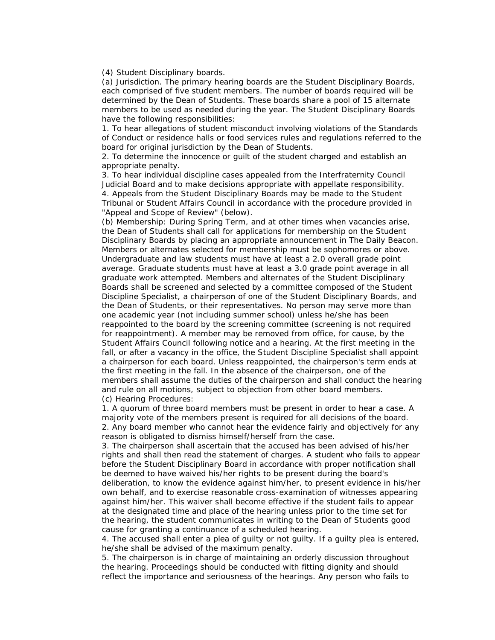(4) Student Disciplinary boards.

(a) Jurisdiction. The primary hearing boards are the Student Disciplinary Boards, each comprised of five student members. The number of boards required will be determined by the Dean of Students. These boards share a pool of 15 alternate members to be used as needed during the year. The Student Disciplinary Boards have the following responsibilities:

1. To hear allegations of student misconduct involving violations of the Standards of Conduct or residence halls or food services rules and regulations referred to the board for original jurisdiction by the Dean of Students.

2. To determine the innocence or guilt of the student charged and establish an appropriate penalty.

3. To hear individual discipline cases appealed from the Interfraternity Council Judicial Board and to make decisions appropriate with appellate responsibility. 4. Appeals from the Student Disciplinary Boards may be made to the Student Tribunal or Student Affairs Council in accordance with the procedure provided in "Appeal and Scope of Review" (below).

(b) Membership: During Spring Term, and at other times when vacancies arise, the Dean of Students shall call for applications for membership on the Student Disciplinary Boards by placing an appropriate announcement in The Daily Beacon. Members or alternates selected for membership must be sophomores or above. Undergraduate and law students must have at least a 2.0 overall grade point average. Graduate students must have at least a 3.0 grade point average in all graduate work attempted. Members and alternates of the Student Disciplinary Boards shall be screened and selected by a committee composed of the Student Discipline Specialist, a chairperson of one of the Student Disciplinary Boards, and the Dean of Students, or their representatives. No person may serve more than one academic year (not including summer school) unless he/she has been reappointed to the board by the screening committee (screening is not required for reappointment). A member may be removed from office, for cause, by the Student Affairs Council following notice and a hearing. At the first meeting in the fall, or after a vacancy in the office, the Student Discipline Specialist shall appoint a chairperson for each board. Unless reappointed, the chairperson's term ends at the first meeting in the fall. In the absence of the chairperson, one of the members shall assume the duties of the chairperson and shall conduct the hearing and rule on all motions, subject to objection from other board members. (c) Hearing Procedures:

1. A quorum of three board members must be present in order to hear a case. A majority vote of the members present is required for all decisions of the board. 2. Any board member who cannot hear the evidence fairly and objectively for any reason is obligated to dismiss himself/herself from the case.

3. The chairperson shall ascertain that the accused has been advised of his/her rights and shall then read the statement of charges. A student who fails to appear before the Student Disciplinary Board in accordance with proper notification shall be deemed to have waived his/her rights to be present during the board's deliberation, to know the evidence against him/her, to present evidence in his/her own behalf, and to exercise reasonable cross-examination of witnesses appearing against him/her. This waiver shall become effective if the student fails to appear at the designated time and place of the hearing unless prior to the time set for the hearing, the student communicates in writing to the Dean of Students good cause for granting a continuance of a scheduled hearing.

4. The accused shall enter a plea of guilty or not guilty. If a guilty plea is entered, he/she shall be advised of the maximum penalty.

5. The chairperson is in charge of maintaining an orderly discussion throughout the hearing. Proceedings should be conducted with fitting dignity and should reflect the importance and seriousness of the hearings. Any person who fails to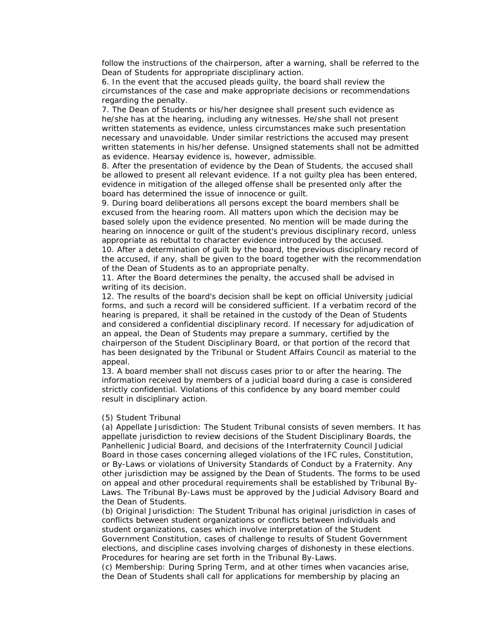follow the instructions of the chairperson, after a warning, shall be referred to the Dean of Students for appropriate disciplinary action.

6. In the event that the accused pleads guilty, the board shall review the circumstances of the case and make appropriate decisions or recommendations regarding the penalty.

7. The Dean of Students or his/her designee shall present such evidence as he/she has at the hearing, including any witnesses. He/she shall not present written statements as evidence, unless circumstances make such presentation necessary and unavoidable. Under similar restrictions the accused may present written statements in his/her defense. Unsigned statements shall not be admitted as evidence. Hearsay evidence is, however, admissible.

8. After the presentation of evidence by the Dean of Students, the accused shall be allowed to present all relevant evidence. If a not guilty plea has been entered, evidence in mitigation of the alleged offense shall be presented only after the board has determined the issue of innocence or guilt.

9. During board deliberations all persons except the board members shall be excused from the hearing room. All matters upon which the decision may be based solely upon the evidence presented. No mention will be made during the hearing on innocence or guilt of the student's previous disciplinary record, unless appropriate as rebuttal to character evidence introduced by the accused.

10. After a determination of guilt by the board, the previous disciplinary record of the accused, if any, shall be given to the board together with the recommendation of the Dean of Students as to an appropriate penalty.

11. After the Board determines the penalty, the accused shall be advised in writing of its decision.

12. The results of the board's decision shall be kept on official University judicial forms, and such a record will be considered sufficient. If a verbatim record of the hearing is prepared, it shall be retained in the custody of the Dean of Students and considered a confidential disciplinary record. If necessary for adjudication of an appeal, the Dean of Students may prepare a summary, certified by the chairperson of the Student Disciplinary Board, or that portion of the record that has been designated by the Tribunal or Student Affairs Council as material to the appeal.

13. A board member shall not discuss cases prior to or after the hearing. The information received by members of a judicial board during a case is considered strictly confidential. Violations of this confidence by any board member could result in disciplinary action.

#### (5) Student Tribunal

(a) Appellate Jurisdiction: The Student Tribunal consists of seven members. It has appellate jurisdiction to review decisions of the Student Disciplinary Boards, the Panhellenic Judicial Board, and decisions of the Interfraternity Council Judicial Board in those cases concerning alleged violations of the IFC rules, Constitution, or By-Laws or violations of University Standards of Conduct by a Fraternity. Any other jurisdiction may be assigned by the Dean of Students. The forms to be used on appeal and other procedural requirements shall be established by Tribunal By-Laws. The Tribunal By-Laws must be approved by the Judicial Advisory Board and the Dean of Students.

(b) Original Jurisdiction: The Student Tribunal has original jurisdiction in cases of conflicts between student organizations or conflicts between individuals and student organizations, cases which involve interpretation of the Student Government Constitution, cases of challenge to results of Student Government elections, and discipline cases involving charges of dishonesty in these elections. Procedures for hearing are set forth in the Tribunal By-Laws.

(c) Membership: During Spring Term, and at other times when vacancies arise, the Dean of Students shall call for applications for membership by placing an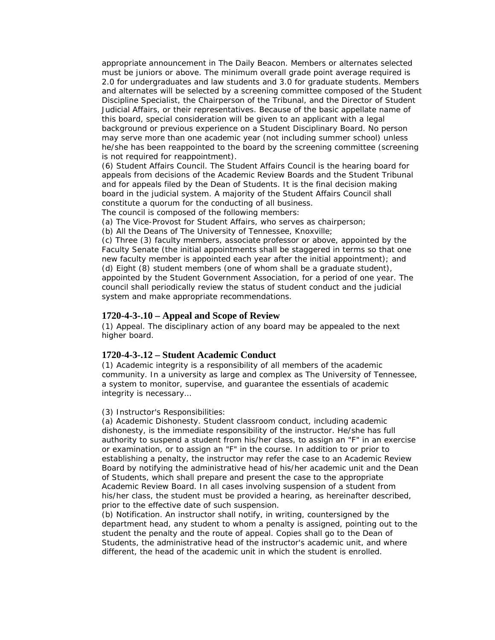appropriate announcement in The Daily Beacon. Members or alternates selected must be juniors or above. The minimum overall grade point average required is 2.0 for undergraduates and law students and 3.0 for graduate students. Members and alternates will be selected by a screening committee composed of the Student Discipline Specialist, the Chairperson of the Tribunal, and the Director of Student Judicial Affairs, or their representatives. Because of the basic appellate name of this board, special consideration will be given to an applicant with a legal background or previous experience on a Student Disciplinary Board. No person may serve more than one academic year (not including summer school) unless he/she has been reappointed to the board by the screening committee (screening is not required for reappointment).

(6) Student Affairs Council. The Student Affairs Council is the hearing board for appeals from decisions of the Academic Review Boards and the Student Tribunal and for appeals filed by the Dean of Students. It is the final decision making board in the judicial system. A majority of the Student Affairs Council shall constitute a quorum for the conducting of all business.

The council is composed of the following members:

(a) The Vice-Provost for Student Affairs, who serves as chairperson;

(b) All the Deans of The University of Tennessee, Knoxville;

(c) Three (3) faculty members, associate professor or above, appointed by the Faculty Senate (the initial appointments shall be staggered in terms so that one new faculty member is appointed each year after the initial appointment); and (d) Eight (8) student members (one of whom shall be a graduate student), appointed by the Student Government Association, for a period of one year. The council shall periodically review the status of student conduct and the judicial system and make appropriate recommendations.

### **1720-4-3-.10 – Appeal and Scope of Review**

(1) Appeal. The disciplinary action of any board may be appealed to the next higher board.

#### **1720-4-3-.12 – Student Academic Conduct**

(1) Academic integrity is a responsibility of all members of the academic community. In a university as large and complex as The University of Tennessee, a system to monitor, supervise, and guarantee the essentials of academic integrity is necessary…

#### (3) Instructor's Responsibilities:

(a) Academic Dishonesty. Student classroom conduct, including academic dishonesty, is the immediate responsibility of the instructor. He/she has full authority to suspend a student from his/her class, to assign an "F" in an exercise or examination, or to assign an "F" in the course. In addition to or prior to establishing a penalty, the instructor may refer the case to an Academic Review Board by notifying the administrative head of his/her academic unit and the Dean of Students, which shall prepare and present the case to the appropriate Academic Review Board. In all cases involving suspension of a student from his/her class, the student must be provided a hearing, as hereinafter described, prior to the effective date of such suspension.

(b) Notification. An instructor shall notify, in writing, countersigned by the department head, any student to whom a penalty is assigned, pointing out to the student the penalty and the route of appeal. Copies shall go to the Dean of Students, the administrative head of the instructor's academic unit, and where different, the head of the academic unit in which the student is enrolled.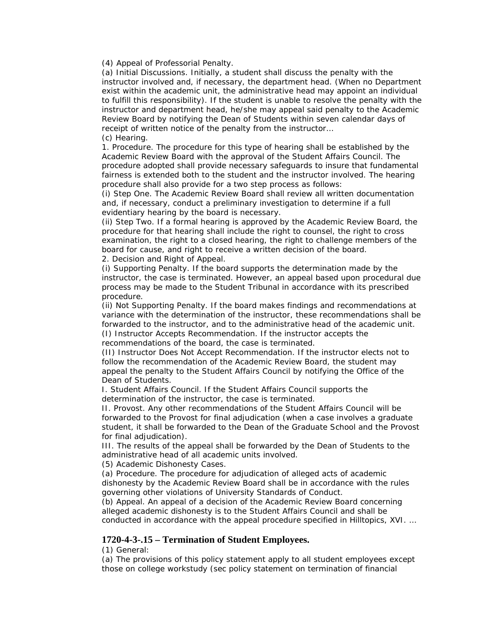(4) Appeal of Professorial Penalty.

(a) Initial Discussions. Initially, a student shall discuss the penalty with the instructor involved and, if necessary, the department head. (When no Department exist within the academic unit, the administrative head may appoint an individual to fulfill this responsibility). If the student is unable to resolve the penalty with the instructor and department head, he/she may appeal said penalty to the Academic Review Board by notifying the Dean of Students within seven calendar days of receipt of written notice of the penalty from the instructor… (c) Hearing.

1. Procedure. The procedure for this type of hearing shall be established by the Academic Review Board with the approval of the Student Affairs Council. The procedure adopted shall provide necessary safeguards to insure that fundamental fairness is extended both to the student and the instructor involved. The hearing procedure shall also provide for a two step process as follows:

(i) Step One. The Academic Review Board shall review all written documentation and, if necessary, conduct a preliminary investigation to determine if a full evidentiary hearing by the board is necessary.

(ii) Step Two. If a formal hearing is approved by the Academic Review Board, the procedure for that hearing shall include the right to counsel, the right to cross examination, the right to a closed hearing, the right to challenge members of the board for cause, and right to receive a written decision of the board.

2. Decision and Right of Appeal.

(i) Supporting Penalty. If the board supports the determination made by the instructor, the case is terminated. However, an appeal based upon procedural due process may be made to the Student Tribunal in accordance with its prescribed procedure.

(ii) Not Supporting Penalty. If the board makes findings and recommendations at variance with the determination of the instructor, these recommendations shall be forwarded to the instructor, and to the administrative head of the academic unit. (I) Instructor Accepts Recommendation. If the instructor accepts the recommendations of the board, the case is terminated.

(II) Instructor Does Not Accept Recommendation. If the instructor elects not to follow the recommendation of the Academic Review Board, the student may appeal the penalty to the Student Affairs Council by notifying the Office of the Dean of Students.

I. Student Affairs Council. If the Student Affairs Council supports the determination of the instructor, the case is terminated.

II. Provost. Any other recommendations of the Student Affairs Council will be forwarded to the Provost for final adjudication (when a case involves a graduate student, it shall be forwarded to the Dean of the Graduate School and the Provost for final adjudication).

III. The results of the appeal shall be forwarded by the Dean of Students to the administrative head of all academic units involved.

(5) Academic Dishonesty Cases.

(a) Procedure. The procedure for adjudication of alleged acts of academic dishonesty by the Academic Review Board shall be in accordance with the rules governing other violations of University Standards of Conduct.

(b) Appeal. An appeal of a decision of the Academic Review Board concerning alleged academic dishonesty is to the Student Affairs Council and shall be conducted in accordance with the appeal procedure specified in Hilltopics, XVI. …

### **1720-4-3-.15 – Termination of Student Employees.**

(1) General:

(a) The provisions of this policy statement apply to all student employees except those on college workstudy (sec policy statement on termination of financial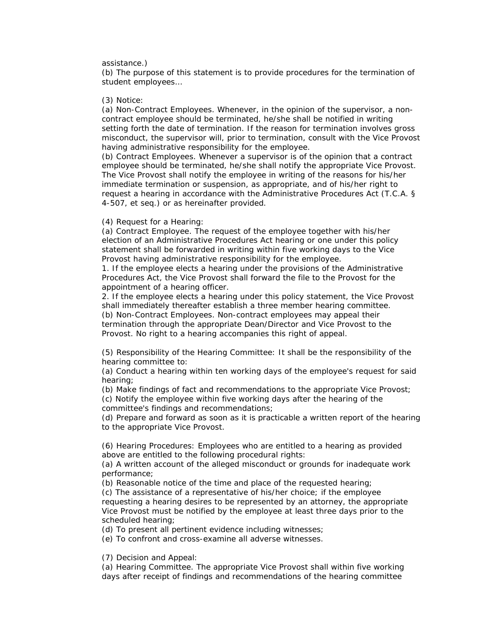#### assistance.)

(b) The purpose of this statement is to provide procedures for the termination of student employees…

#### (3) Notice:

(a) Non-Contract Employees. Whenever, in the opinion of the supervisor, a noncontract employee should be terminated, he/she shall be notified in writing setting forth the date of termination. If the reason for termination involves gross misconduct, the supervisor will, prior to termination, consult with the Vice Provost having administrative responsibility for the employee.

(b) Contract Employees. Whenever a supervisor is of the opinion that a contract employee should be terminated, he/she shall notify the appropriate Vice Provost. The Vice Provost shall notify the employee in writing of the reasons for his/her immediate termination or suspension, as appropriate, and of his/her right to request a hearing in accordance with the Administrative Procedures Act (T.C.A. § 4-507, et seq.) or as hereinafter provided.

#### (4) Request for a Hearing:

(a) Contract Employee. The request of the employee together with his/her election of an Administrative Procedures Act hearing or one under this policy statement shall be forwarded in writing within five working days to the Vice Provost having administrative responsibility for the employee.

1. If the employee elects a hearing under the provisions of the Administrative Procedures Act, the Vice Provost shall forward the file to the Provost for the appointment of a hearing officer.

2. If the employee elects a hearing under this policy statement, the Vice Provost shall immediately thereafter establish a three member hearing committee. (b) Non-Contract Employees. Non-contract employees may appeal their termination through the appropriate Dean/Director and Vice Provost to the Provost. No right to a hearing accompanies this right of appeal.

(5) Responsibility of the Hearing Committee: It shall be the responsibility of the hearing committee to:

(a) Conduct a hearing within ten working days of the employee's request for said hearing;

(b) Make findings of fact and recommendations to the appropriate Vice Provost; (c) Notify the employee within five working days after the hearing of the committee's findings and recommendations;

(d) Prepare and forward as soon as it is practicable a written report of the hearing to the appropriate Vice Provost.

(6) Hearing Procedures: Employees who are entitled to a hearing as provided above are entitled to the following procedural rights:

(a) A written account of the alleged misconduct or grounds for inadequate work performance;

(b) Reasonable notice of the time and place of the requested hearing;

(c) The assistance of a representative of his/her choice; if the employee requesting a hearing desires to be represented by an attorney, the appropriate Vice Provost must be notified by the employee at least three days prior to the scheduled hearing;

(d) To present all pertinent evidence including witnesses;

(e) To confront and cross-examine all adverse witnesses.

(7) Decision and Appeal:

(a) Hearing Committee. The appropriate Vice Provost shall within five working days after receipt of findings and recommendations of the hearing committee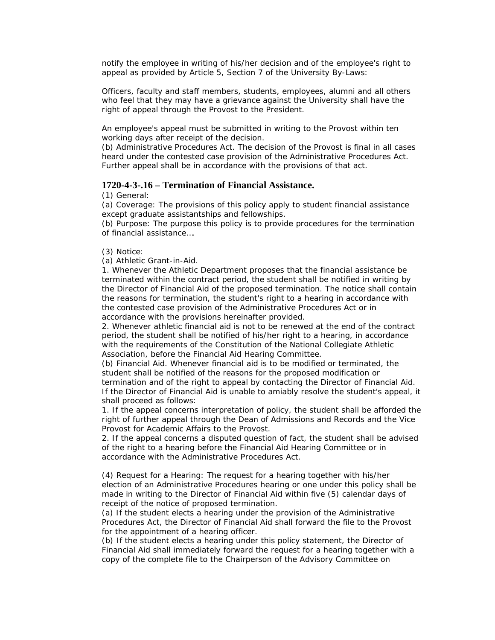notify the employee in writing of his/her decision and of the employee's right to appeal as provided by Article 5, Section 7 of the University By-Laws:

Officers, faculty and staff members, students, employees, alumni and all others who feel that they may have a grievance against the University shall have the right of appeal through the Provost to the President.

An employee's appeal must be submitted in writing to the Provost within ten working days after receipt of the decision.

(b) Administrative Procedures Act. The decision of the Provost is final in all cases heard under the contested case provision of the Administrative Procedures Act. Further appeal shall be in accordance with the provisions of that act.

### **1720-4-3-.16 – Termination of Financial Assistance.**

(1) General:

(a) Coverage: The provisions of this policy apply to student financial assistance except graduate assistantships and fellowships.

(b) Purpose: The purpose this policy is to provide procedures for the termination of financial assistance….

(3) Notice:

(a) Athletic Grant-in-Aid.

1. Whenever the Athletic Department proposes that the financial assistance be terminated within the contract period, the student shall be notified in writing by the Director of Financial Aid of the proposed termination. The notice shall contain the reasons for termination, the student's right to a hearing in accordance with the contested case provision of the Administrative Procedures Act or in accordance with the provisions hereinafter provided.

2. Whenever athletic financial aid is not to be renewed at the end of the contract period, the student shall be notified of his/her right to a hearing, in accordance with the requirements of the Constitution of the National Collegiate Athletic Association, before the Financial Aid Hearing Committee.

(b) Financial Aid. Whenever financial aid is to be modified or terminated, the student shall be notified of the reasons for the proposed modification or termination and of the right to appeal by contacting the Director of Financial Aid. If the Director of Financial Aid is unable to amiably resolve the student's appeal, it shall proceed as follows:

1. If the appeal concerns interpretation of policy, the student shall be afforded the right of further appeal through the Dean of Admissions and Records and the Vice Provost for Academic Affairs to the Provost.

2. If the appeal concerns a disputed question of fact, the student shall be advised of the right to a hearing before the Financial Aid Hearing Committee or in accordance with the Administrative Procedures Act.

(4) Request for a Hearing: The request for a hearing together with his/her election of an Administrative Procedures hearing or one under this policy shall be made in writing to the Director of Financial Aid within five (5) calendar days of receipt of the notice of proposed termination.

(a) If the student elects a hearing under the provision of the Administrative Procedures Act, the Director of Financial Aid shall forward the file to the Provost for the appointment of a hearing officer.

(b) If the student elects a hearing under this policy statement, the Director of Financial Aid shall immediately forward the request for a hearing together with a copy of the complete file to the Chairperson of the Advisory Committee on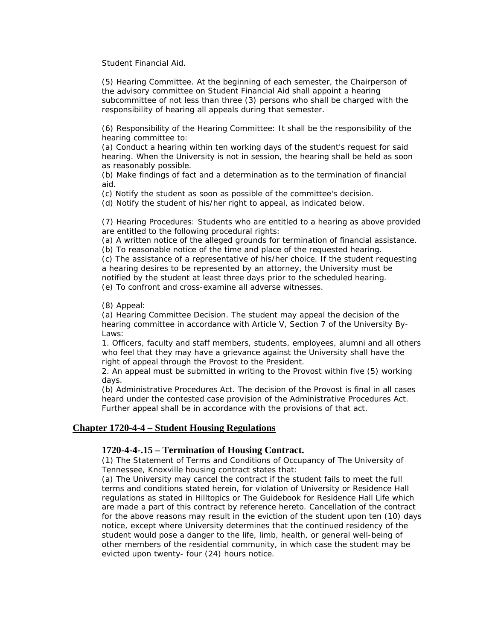Student Financial Aid.

(5) Hearing Committee. At the beginning of each semester, the Chairperson of the advisory committee on Student Financial Aid shall appoint a hearing subcommittee of not less than three (3) persons who shall be charged with the responsibility of hearing all appeals during that semester.

(6) Responsibility of the Hearing Committee: It shall be the responsibility of the hearing committee to:

(a) Conduct a hearing within ten working days of the student's request for said hearing. When the University is not in session, the hearing shall be held as soon as reasonably possible.

(b) Make findings of fact and a determination as to the termination of financial aid.

(c) Notify the student as soon as possible of the committee's decision.

(d) Notify the student of his/her right to appeal, as indicated below.

(7) Hearing Procedures: Students who are entitled to a hearing as above provided are entitled to the following procedural rights:

(a) A written notice of the alleged grounds for termination of financial assistance. (b) To reasonable notice of the time and place of the requested hearing.

(c) The assistance of a representative of his/her choice. If the student requesting a hearing desires to be represented by an attorney, the University must be notified by the student at least three days prior to the scheduled hearing.

(e) To confront and cross-examine all adverse witnesses.

(8) Appeal:

(a) Hearing Committee Decision. The student may appeal the decision of the hearing committee in accordance with Article V, Section 7 of the University By-Laws:

1. Officers, faculty and staff members, students, employees, alumni and all others who feel that they may have a grievance against the University shall have the right of appeal through the Provost to the President.

2. An appeal must be submitted in writing to the Provost within five (5) working days.

(b) Administrative Procedures Act. The decision of the Provost is final in all cases heard under the contested case provision of the Administrative Procedures Act. Further appeal shall be in accordance with the provisions of that act.

### **Chapter 1720-4-4 – Student Housing Regulations**

#### **1720-4-4-.15 – Termination of Housing Contract.**

(1) The Statement of Terms and Conditions of Occupancy of The University of Tennessee, Knoxville housing contract states that:

(a) The University may cancel the contract if the student fails to meet the full terms and conditions stated herein, for violation of University or Residence Hall regulations as stated in Hilltopics or The Guidebook for Residence Hall Life which are made a part of this contract by reference hereto. Cancellation of the contract for the above reasons may result in the eviction of the student upon ten (10) days notice, except where University determines that the continued residency of the student would pose a danger to the life, limb, health, or general well-being of other members of the residential community, in which case the student may be evicted upon twenty- four (24) hours notice.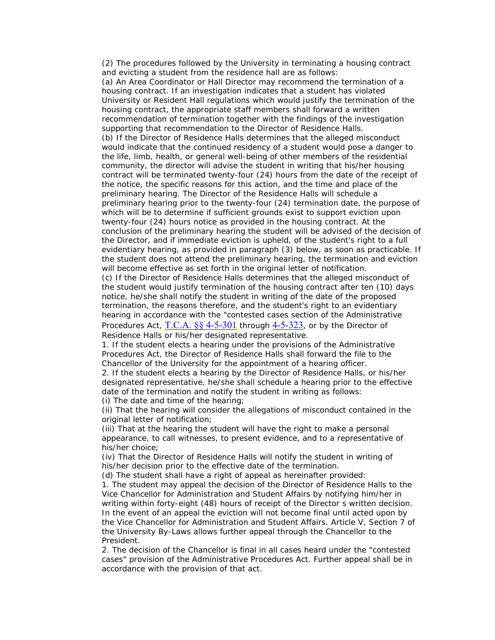(2) The procedures followed by the University in terminating a housing contract and evicting a student from the residence hall are as follows:

(a) An Area Coordinator or Hall Director may recommend the termination of a housing contract. If an investigation indicates that a student has violated University or Resident Hall regulations which would justify the termination of the housing contract, the appropriate staff members shall forward a written recommendation of termination together with the findings of the investigation supporting that recommendation to the Director of Residence Halls.

(b) If the Director of Residence Halls determines that the alleged misconduct would indicate that the continued residency of a student would pose a danger to the life, limb, health, or general well-being of other members of the residential community, the director will advise the student in writing that his/her housing contract will be terminated twenty-four (24) hours from the date of the receipt of the notice, the specific reasons for this action, and the time and place of the preliminary hearing. The Director of the Residence Halls will schedule a preliminary hearing prior to the twenty-four (24) termination date, the purpose of which will be to determine if sufficient grounds exist to support eviction upon twenty-four (24) hours notice as provided in the housing contract. At the conclusion of the preliminary hearing the student will be advised of the decision of the Director, and if immediate eviction is upheld, of the student's right to a full evidentiary hearing, as provided in paragraph (3) below, as soon as practicable. If the student does not attend the preliminary hearing, the termination and eviction will become effective as set forth in the original letter of notification.

(c) If the Director of Residence Halls determines that the alleged misconduct of the student would justify termination of the housing contract after ten (10) days notice, he/she shall notify the student in writing of the date of the proposed termination, the reasons therefore, and the student's right to an evidentiary hearing in accordance with the "contested cases section of the Administrative Procedures Act,  $T.C.A.$  §§ 4-5-301 through [4-5-323](http://web2.westlaw.com/find/default.wl?DB=1000039&DocName=TNSTS4%2D5%2D323&FindType=L&AP=&mt=LawSchoolPractitioner&fn=_top&sv=Split&vr=2.0&rs=WLW6.02), or by the Director of Residence Halls or his/her designated representative.

1. If the student elects a hearing under the provisions of the Administrative Procedures Act, the Director of Residence Halls shall forward the file to the Chancellor of the University for the appointment of a hearing officer.

2. If the student elects a hearing by the Director of Residence Halls, or his/her designated representative, he/she shall schedule a hearing prior to the effective date of the termination and notify the student in writing as follows: (i) The date and time of the hearing;

(ii) That the hearing will consider the allegations of misconduct contained in the original letter of notification;

(iii) That at the hearing the student will have the right to make a personal appearance, to call witnesses, to present evidence, and to a representative of his/her choice;

(iv) That the Director of Residence Halls will notify the student in writing of his/her decision prior to the effective date of the termination.

(d) The student shall have a right of appeal as hereinafter provided:

1. The student may appeal the decision of the Director of Residence Halls to the Vice Chancellor for Administration and Student Affairs by notifying him/her in writing within forty-eight (48) hours of receipt of the Director s written decision. In the event of an appeal the eviction will not become final until acted upon by the Vice Chancellor for Administration and Student Affairs. Article V, Section 7 of the University By-Laws allows further appeal through the Chancellor to the President.

2. The decision of the Chancellor is final in all cases heard under the "contested cases" provision of the Administrative Procedures Act. Further appeal shall be in accordance with the provision of that act.